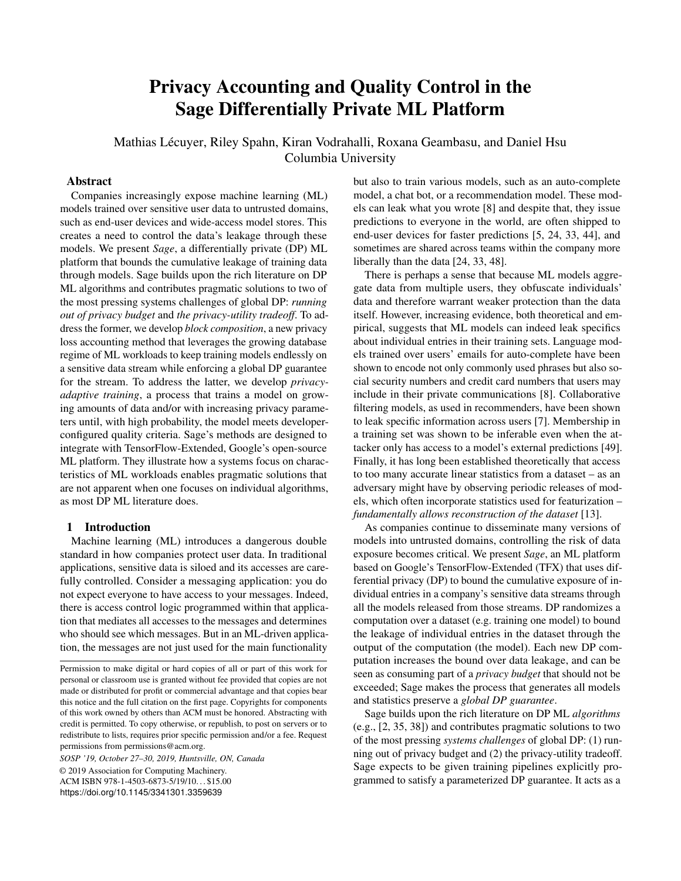# Privacy Accounting and Quality Control in the Sage Differentially Private ML Platform

Mathias Lécuyer, Riley Spahn, Kiran Vodrahalli, Roxana Geambasu, and Daniel Hsu Columbia University

## Abstract

Companies increasingly expose machine learning (ML) models trained over sensitive user data to untrusted domains, such as end-user devices and wide-access model stores. This creates a need to control the data's leakage through these models. We present *Sage*, a differentially private (DP) ML platform that bounds the cumulative leakage of training data through models. Sage builds upon the rich literature on DP ML algorithms and contributes pragmatic solutions to two of the most pressing systems challenges of global DP: *running out of privacy budget* and *the privacy-utility tradeoff*. To address the former, we develop *block composition*, a new privacy loss accounting method that leverages the growing database regime of ML workloads to keep training models endlessly on a sensitive data stream while enforcing a global DP guarantee for the stream. To address the latter, we develop *privacyadaptive training*, a process that trains a model on growing amounts of data and/or with increasing privacy parameters until, with high probability, the model meets developerconfigured quality criteria. Sage's methods are designed to integrate with TensorFlow-Extended, Google's open-source ML platform. They illustrate how a systems focus on characteristics of ML workloads enables pragmatic solutions that are not apparent when one focuses on individual algorithms, as most DP ML literature does.

## 1 Introduction

Machine learning (ML) introduces a dangerous double standard in how companies protect user data. In traditional applications, sensitive data is siloed and its accesses are carefully controlled. Consider a messaging application: you do not expect everyone to have access to your messages. Indeed, there is access control logic programmed within that application that mediates all accesses to the messages and determines who should see which messages. But in an ML-driven application, the messages are not just used for the main functionality

*SOSP '19, October 27–30, 2019, Huntsville, ON, Canada* © 2019 Association for Computing Machinery. ACM ISBN 978-1-4503-6873-5/19/10. . . \$15.00 <https://doi.org/10.1145/3341301.3359639>

but also to train various models, such as an auto-complete model, a chat bot, or a recommendation model. These models can leak what you wrote [\[8\]](#page-13-0) and despite that, they issue predictions to everyone in the world, are often shipped to end-user devices for faster predictions [\[5,](#page-12-0) [24,](#page-13-1) [33,](#page-13-2) [44\]](#page-13-3), and sometimes are shared across teams within the company more liberally than the data [\[24,](#page-13-1) [33,](#page-13-2) [48\]](#page-14-0).

There is perhaps a sense that because ML models aggregate data from multiple users, they obfuscate individuals' data and therefore warrant weaker protection than the data itself. However, increasing evidence, both theoretical and empirical, suggests that ML models can indeed leak specifics about individual entries in their training sets. Language models trained over users' emails for auto-complete have been shown to encode not only commonly used phrases but also social security numbers and credit card numbers that users may include in their private communications [\[8\]](#page-13-0). Collaborative filtering models, as used in recommenders, have been shown to leak specific information across users [\[7\]](#page-13-4). Membership in a training set was shown to be inferable even when the attacker only has access to a model's external predictions [\[49\]](#page-14-1). Finally, it has long been established theoretically that access to too many accurate linear statistics from a dataset – as an adversary might have by observing periodic releases of models, which often incorporate statistics used for featurization – *fundamentally allows reconstruction of the dataset* [\[13\]](#page-13-5).

As companies continue to disseminate many versions of models into untrusted domains, controlling the risk of data exposure becomes critical. We present *Sage*, an ML platform based on Google's TensorFlow-Extended (TFX) that uses differential privacy (DP) to bound the cumulative exposure of individual entries in a company's sensitive data streams through all the models released from those streams. DP randomizes a computation over a dataset (e.g. training one model) to bound the leakage of individual entries in the dataset through the output of the computation (the model). Each new DP computation increases the bound over data leakage, and can be seen as consuming part of a *privacy budget* that should not be exceeded; Sage makes the process that generates all models and statistics preserve a *global DP guarantee*.

Sage builds upon the rich literature on DP ML *algorithms* (e.g., [\[2,](#page-12-1) [35,](#page-13-6) [38\]](#page-13-7)) and contributes pragmatic solutions to two of the most pressing *systems challenges* of global DP: (1) running out of privacy budget and (2) the privacy-utility tradeoff. Sage expects to be given training pipelines explicitly programmed to satisfy a parameterized DP guarantee. It acts as a

Permission to make digital or hard copies of all or part of this work for personal or classroom use is granted without fee provided that copies are not made or distributed for profit or commercial advantage and that copies bear this notice and the full citation on the first page. Copyrights for components of this work owned by others than ACM must be honored. Abstracting with credit is permitted. To copy otherwise, or republish, to post on servers or to redistribute to lists, requires prior specific permission and/or a fee. Request permissions from permissions@acm.org.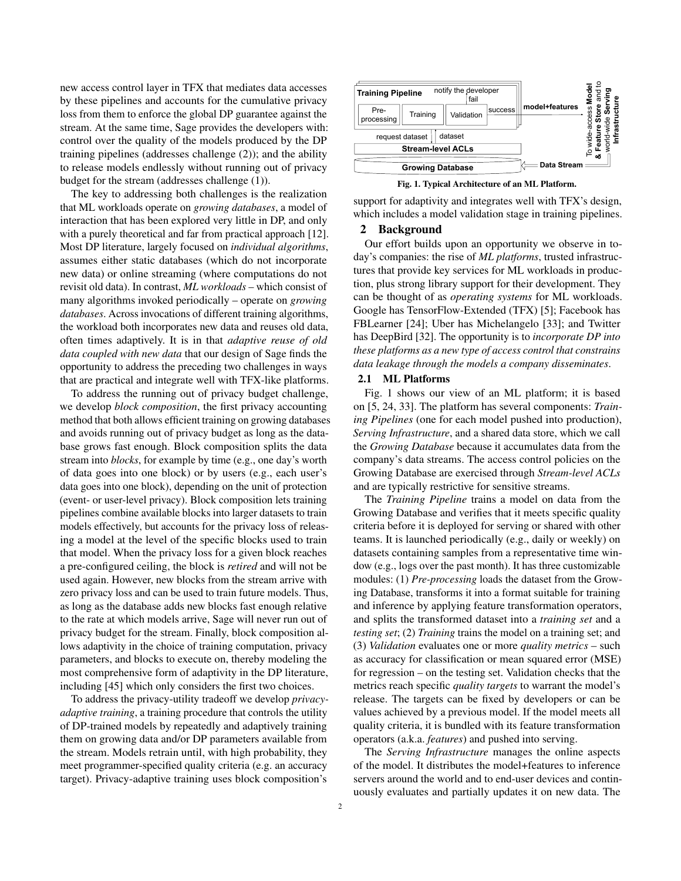new access control layer in TFX that mediates data accesses by these pipelines and accounts for the cumulative privacy loss from them to enforce the global DP guarantee against the stream. At the same time, Sage provides the developers with: control over the quality of the models produced by the DP training pipelines (addresses challenge (2)); and the ability to release models endlessly without running out of privacy budget for the stream (addresses challenge (1)).

The key to addressing both challenges is the realization that ML workloads operate on *growing databases*, a model of interaction that has been explored very little in DP, and only with a purely theoretical and far from practical approach [\[12\]](#page-13-8). Most DP literature, largely focused on *individual algorithms*, assumes either static databases (which do not incorporate new data) or online streaming (where computations do not revisit old data). In contrast, *ML workloads* – which consist of many algorithms invoked periodically – operate on *growing databases*. Across invocations of different training algorithms, the workload both incorporates new data and reuses old data, often times adaptively. It is in that *adaptive reuse of old data coupled with new data* that our design of Sage finds the opportunity to address the preceding two challenges in ways that are practical and integrate well with TFX-like platforms.

To address the running out of privacy budget challenge, we develop *block composition*, the first privacy accounting method that both allows efficient training on growing databases and avoids running out of privacy budget as long as the database grows fast enough. Block composition splits the data stream into *blocks*, for example by time (e.g., one day's worth of data goes into one block) or by users (e.g., each user's data goes into one block), depending on the unit of protection (event- or user-level privacy). Block composition lets training pipelines combine available blocks into larger datasets to train models effectively, but accounts for the privacy loss of releasing a model at the level of the specific blocks used to train that model. When the privacy loss for a given block reaches a pre-configured ceiling, the block is *retired* and will not be used again. However, new blocks from the stream arrive with zero privacy loss and can be used to train future models. Thus, as long as the database adds new blocks fast enough relative to the rate at which models arrive, Sage will never run out of privacy budget for the stream. Finally, block composition allows adaptivity in the choice of training computation, privacy parameters, and blocks to execute on, thereby modeling the most comprehensive form of adaptivity in the DP literature, including [\[45\]](#page-13-9) which only considers the first two choices.

To address the privacy-utility tradeoff we develop *privacyadaptive training*, a training procedure that controls the utility of DP-trained models by repeatedly and adaptively training them on growing data and/or DP parameters available from the stream. Models retrain until, with high probability, they meet programmer-specified quality criteria (e.g. an accuracy target). Privacy-adaptive training uses block composition's

<span id="page-1-0"></span>

Fig. 1. Typical Architecture of an ML Platform.

support for adaptivity and integrates well with TFX's design, which includes a model validation stage in training pipelines.

## 2 Background

Our effort builds upon an opportunity we observe in today's companies: the rise of *ML platforms*, trusted infrastructures that provide key services for ML workloads in production, plus strong library support for their development. They can be thought of as *operating systems* for ML workloads. Google has TensorFlow-Extended (TFX) [\[5\]](#page-12-0); Facebook has FBLearner [\[24\]](#page-13-1); Uber has Michelangelo [\[33\]](#page-13-2); and Twitter has DeepBird [\[32\]](#page-13-10). The opportunity is to *incorporate DP into these platforms as a new type of access control that constrains data leakage through the models a company disseminates*.

## 2.1 ML Platforms

Fig. [1](#page-1-0) shows our view of an ML platform; it is based on [\[5,](#page-12-0) [24,](#page-13-1) [33\]](#page-13-2). The platform has several components: *Training Pipelines* (one for each model pushed into production), *Serving Infrastructure*, and a shared data store, which we call the *Growing Database* because it accumulates data from the company's data streams. The access control policies on the Growing Database are exercised through *Stream-level ACLs* and are typically restrictive for sensitive streams.

The *Training Pipeline* trains a model on data from the Growing Database and verifies that it meets specific quality criteria before it is deployed for serving or shared with other teams. It is launched periodically (e.g., daily or weekly) on datasets containing samples from a representative time window (e.g., logs over the past month). It has three customizable modules: (1) *Pre-processing* loads the dataset from the Growing Database, transforms it into a format suitable for training and inference by applying feature transformation operators, and splits the transformed dataset into a *training set* and a *testing set*; (2) *Training* trains the model on a training set; and (3) *Validation* evaluates one or more *quality metrics* – such as accuracy for classification or mean squared error (MSE) for regression – on the testing set. Validation checks that the metrics reach specific *quality targets* to warrant the model's release. The targets can be fixed by developers or can be values achieved by a previous model. If the model meets all quality criteria, it is bundled with its feature transformation operators (a.k.a. *features*) and pushed into serving.

The *Serving Infrastructure* manages the online aspects of the model. It distributes the model+features to inference servers around the world and to end-user devices and continuously evaluates and partially updates it on new data. The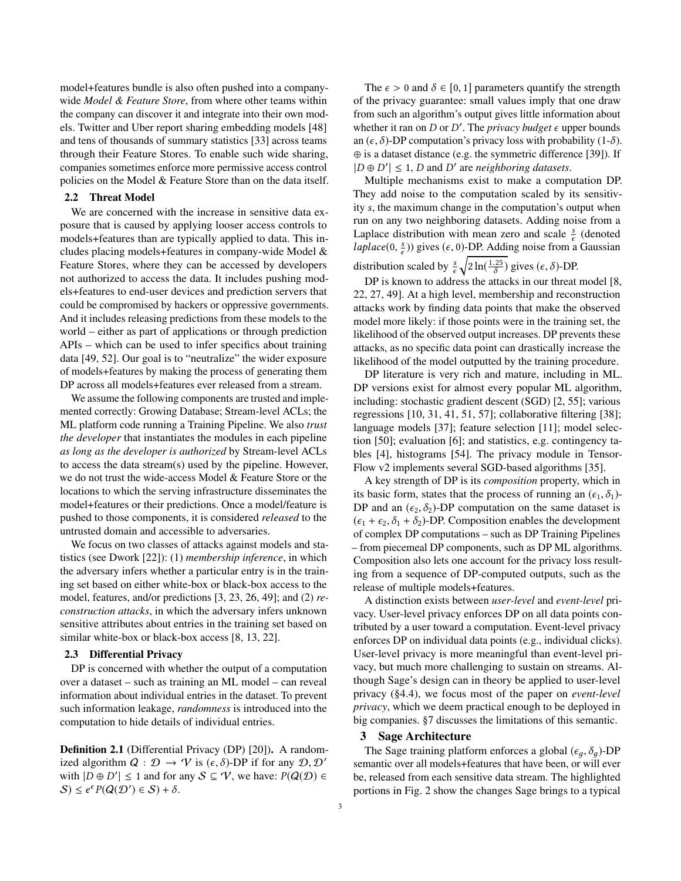model+features bundle is also often pushed into a companywide *Model & Feature Store*, from where other teams within the company can discover it and integrate into their own models. Twitter and Uber report sharing embedding models [\[48\]](#page-14-0) and tens of thousands of summary statistics [\[33\]](#page-13-2) across teams through their Feature Stores. To enable such wide sharing, companies sometimes enforce more permissive access control policies on the Model & Feature Store than on the data itself.

#### 2.2 Threat Model

We are concerned with the increase in sensitive data exposure that is caused by applying looser access controls to models+features than are typically applied to data. This includes placing models+features in company-wide Model & Feature Stores, where they can be accessed by developers not authorized to access the data. It includes pushing models+features to end-user devices and prediction servers that could be compromised by hackers or oppressive governments. And it includes releasing predictions from these models to the world – either as part of applications or through prediction APIs – which can be used to infer specifics about training data [\[49,](#page-14-1) [52\]](#page-14-2). Our goal is to "neutralize" the wider exposure of models+features by making the process of generating them DP across all models+features ever released from a stream.

We assume the following components are trusted and implemented correctly: Growing Database; Stream-level ACLs; the ML platform code running a Training Pipeline. We also *trust the developer* that instantiates the modules in each pipeline *as long as the developer is authorized* by Stream-level ACLs to access the data stream(s) used by the pipeline. However, we do not trust the wide-access Model & Feature Store or the locations to which the serving infrastructure disseminates the model+features or their predictions. Once a model/feature is pushed to those components, it is considered *released* to the untrusted domain and accessible to adversaries.

We focus on two classes of attacks against models and statistics (see Dwork [\[22\]](#page-13-11)): (1) *membership inference*, in which the adversary infers whether a particular entry is in the training set based on either white-box or black-box access to the model, features, and/or predictions [\[3,](#page-12-2) [23,](#page-13-12) [26,](#page-13-13) [49\]](#page-14-1); and (2) *reconstruction attacks*, in which the adversary infers unknown sensitive attributes about entries in the training set based on similar white-box or black-box access [\[8,](#page-13-0) [13,](#page-13-5) [22\]](#page-13-11).

## 2.3 Differential Privacy

DP is concerned with whether the output of a computation over a dataset – such as training an ML model – can reveal information about individual entries in the dataset. To prevent such information leakage, *randomness* is introduced into the computation to hide details of individual entries.

Definition 2.1 (Differential Privacy (DP) [\[20\]](#page-13-14)). A randomized algorithm  $Q : \mathcal{D} \to \mathcal{V}$  is  $(\epsilon, \delta)$ -DP if for any  $\mathcal{D}, \mathcal{D}'$ with  $|D \oplus D'| \le 1$  and for any  $S \subseteq V$ , we have:  $P(Q(D) \in$  $S \leq e^{\epsilon} P(Q(\mathcal{D}') \in S) + \delta.$ 

The  $\epsilon > 0$  and  $\delta \in [0, 1]$  parameters quantify the strength of the privacy guarantee: small values imply that one draw from such an algorithm's output gives little information about whether it ran on  $D$  or  $D'$ . The *privacy budget*  $\epsilon$  upper bounds an  $(\epsilon, \delta)$ -DP computation's privacy loss with probability (1- $\delta$ ). ⊕ is a dataset distance (e.g. the symmetric difference [\[39\]](#page-13-15)). If  $|D \oplus D'| \leq 1$ , D and D' are *neighboring datasets*.

Multiple mechanisms exist to make a computation DP. They add noise to the computation scaled by its sensitivity s, the maximum change in the computation's output when run on any two neighboring datasets. Adding noise from a Laplace distribution with mean zero and scale  $\frac{s}{\epsilon}$  (denoted *laplace*(0,  $\frac{s}{\epsilon}$ )) gives ( $\epsilon$ , 0)-DP. Adding noise from a Gaussian distribution scaled by  $\frac{s}{\epsilon} \sqrt{2 \ln(\frac{1.25}{\delta})}$  gives  $(\epsilon, \delta)$ -DP.

DP is known to address the attacks in our threat model [\[8,](#page-13-0) [22,](#page-13-11) [27,](#page-13-16) [49\]](#page-14-1). At a high level, membership and reconstruction attacks work by finding data points that make the observed model more likely: if those points were in the training set, the likelihood of the observed output increases. DP prevents these attacks, as no specific data point can drastically increase the likelihood of the model outputted by the training procedure.

DP literature is very rich and mature, including in ML. DP versions exist for almost every popular ML algorithm, including: stochastic gradient descent (SGD) [\[2,](#page-12-1) [55\]](#page-14-3); various regressions [\[10,](#page-13-17) [31,](#page-13-18) [41,](#page-13-19) [51,](#page-14-4) [57\]](#page-14-5); collaborative filtering [\[38\]](#page-13-7); language models [\[37\]](#page-13-20); feature selection [\[11\]](#page-13-21); model selection [\[50\]](#page-14-6); evaluation [\[6\]](#page-13-22); and statistics, e.g. contingency tables [\[4\]](#page-12-3), histograms [\[54\]](#page-14-7). The privacy module in Tensor-Flow v2 implements several SGD-based algorithms [\[35\]](#page-13-6).

A key strength of DP is its *composition* property, which in its basic form, states that the process of running an  $(\epsilon_1, \delta_1)$ -DP and an  $(\epsilon_2, \delta_2)$ -DP computation on the same dataset is  $(\epsilon_1 + \epsilon_2, \delta_1 + \delta_2)$ -DP. Composition enables the development of complex DP computations – such as DP Training Pipelines – from piecemeal DP components, such as DP ML algorithms. Composition also lets one account for the privacy loss resulting from a sequence of DP-computed outputs, such as the release of multiple models+features.

A distinction exists between *user-level* and *event-level* privacy. User-level privacy enforces DP on all data points contributed by a user toward a computation. Event-level privacy enforces DP on individual data points (e.g., individual clicks). User-level privacy is more meaningful than event-level privacy, but much more challenging to sustain on streams. Although Sage's design can in theory be applied to user-level privacy ([§4.4\)](#page-8-0), we focus most of the paper on *event-level privacy*, which we deem practical enough to be deployed in big companies. [§7](#page-12-4) discusses the limitations of this semantic.

## 3 Sage Architecture

The Sage training platform enforces a global ( $\epsilon_q$ ,  $\delta_q$ )-DP semantic over all models+features that have been, or will ever be, released from each sensitive data stream. The highlighted portions in Fig. [2](#page-3-0) show the changes Sage brings to a typical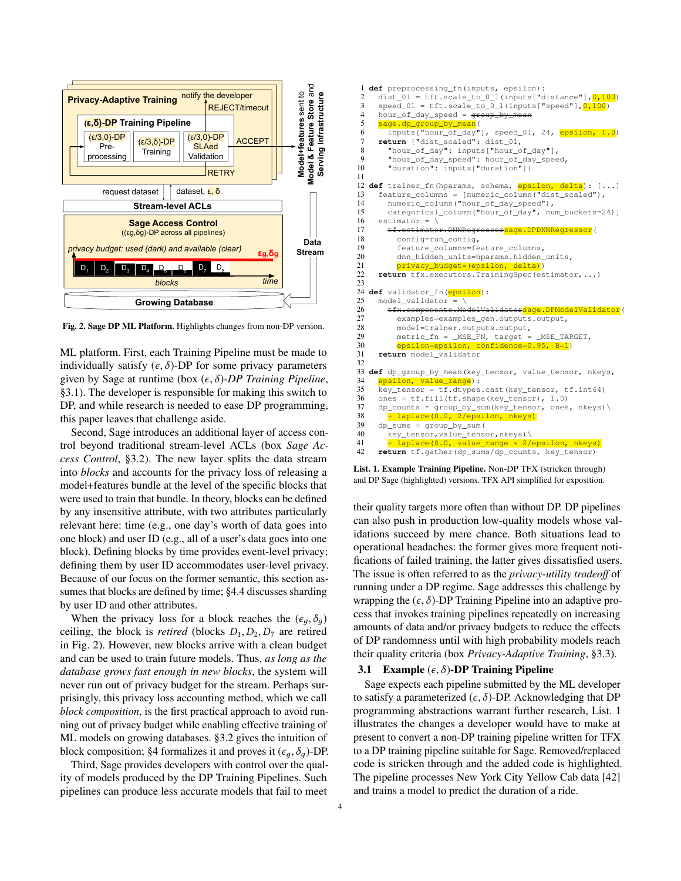<span id="page-3-0"></span>

Fig. 2. Sage DP ML Platform. Highlights changes from non-DP version.

ML platform. First, each Training Pipeline must be made to individually satisfy  $(\epsilon, \delta)$ -DP for some privacy parameters given by Sage at runtime (box (ϵ, <sup>δ</sup>)*-DP Training Pipeline*, [§3.1\)](#page-3-1). The developer is responsible for making this switch to DP, and while research is needed to ease DP programming, this paper leaves that challenge aside.

Second, Sage introduces an additional layer of access control beyond traditional stream-level ACLs (box *Sage Access Control*, [§3.2\)](#page-4-0). The new layer splits the data stream into *blocks* and accounts for the privacy loss of releasing a model+features bundle at the level of the specific blocks that were used to train that bundle. In theory, blocks can be defined by any insensitive attribute, with two attributes particularly relevant here: time (e.g., one day's worth of data goes into one block) and user ID (e.g., all of a user's data goes into one block). Defining blocks by time provides event-level privacy; defining them by user ID accommodates user-level privacy. Because of our focus on the former semantic, this section assumes that blocks are defined by time; [§4.4](#page-8-0) discusses sharding by user ID and other attributes.

When the privacy loss for a block reaches the  $(\epsilon_q, \delta_q)$ ceiling, the block is *retired* (blocks  $D_1, D_2, D_7$  are retired in Fig. [2\)](#page-3-0). However, new blocks arrive with a clean budget and can be used to train future models. Thus, *as long as the database grows fast enough in new blocks*, the system will never run out of privacy budget for the stream. Perhaps surprisingly, this privacy loss accounting method, which we call *block composition*, is the first practical approach to avoid running out of privacy budget while enabling effective training of ML models on growing databases. [§3.2](#page-4-0) gives the intuition of block composition; [§4](#page-6-0) formalizes it and proves it  $(\epsilon_q, \delta_q)$ -DP.

Third, Sage provides developers with control over the quality of models produced by the DP Training Pipelines. Such pipelines can produce less accurate models that fail to meet

<span id="page-3-2"></span>

|                | 1 def preprocessing_fn(inputs, epsilon):                                                         |
|----------------|--------------------------------------------------------------------------------------------------|
| $\overline{c}$ | dist_01 = $tft.scale_to_0_1$ (inputs["distance"], $0,100$ )                                      |
| 3              | $speed_01 = tft.sizeale_to_0_1(inputs['speed"], 0, 100)$                                         |
| $\overline{4}$ | hour_of_day_speed = $\frac{4 \text{4} \text{4} \text{4} \text{4}}{2 \text{4} \text{4} \text{4}}$ |
| 5              | sage.dp_group_by_mean(                                                                           |
| 6              | inputs["hour_of_day"], speed_01, 24, epsilon, 1.0)                                               |
| 7              | return {"dist scaled": dist 01,                                                                  |
| 8              | "hour_of_day": inputs["hour_of_day"],                                                            |
| 9              | "hour_of_day_speed": hour_of_day_speed,                                                          |
| 10             | "duration": inputs["duration"]}                                                                  |
| 11             |                                                                                                  |
|                | 12 def trainer_fn(hparams, schema, epsilon, delta): []                                           |
| 13             | feature_columns = [numeric_column("dist_scaled"),                                                |
| 14             | numeric_column("hour_of_day_speed"),                                                             |
| 15             | categorical_column("hour_of_day", num_buckets=24)]                                               |
| 16             | $estimator = \iota$                                                                              |
| 17             | tf.estimator.DNNRegressorsage.DPDNNRegressor(                                                    |
| 18             | config=run_config,                                                                               |
| 19             | feature_columns=feature_columns,                                                                 |
| 20             | dnn_hidden_units=hparams.hidden_units,                                                           |
| 21             | privacy_budget=(epsilon, delta))                                                                 |
| 22             | return tfx.executors.TrainingSpec(estimator,)                                                    |
| 23             |                                                                                                  |
|                | 24 def validator_fn(epsilon):                                                                    |
| 25             | model validator = $\setminus$                                                                    |
| 26             | tfx.components.ModelValidatorsage.DPModelValidator(                                              |
| 27             | examples=examples_gen.outputs.output,                                                            |
| 28             | model=trainer.outputs.output,                                                                    |
| 29             | metric_fn = _MSE_FN, target = _MSE_TARGET,                                                       |
| 30             | epsilon=epsilon, confidence=0.95, B=1)                                                           |
| 31<br>32       | return model validator                                                                           |
|                |                                                                                                  |
| 34             | 33 def dp_group_by_mean(key_tensor, value_tensor, nkeys,<br>epsilon, value_range):               |
| 35             | key_tensor = tf.dtypes.cast(key_tensor, tf.int64)                                                |
| 36             | ones = tf.fill(tf.shape(key_tensor), 1.0)                                                        |
| 37             | dp_counts = group_by_sum(key_tensor, ones, nkeys)\                                               |
| 38             | + laplace (0.0, 2/epsilon, nkeys)                                                                |
| 39             | $dp\_sums = group_by\_sum($                                                                      |
| 40             | key_tensor, value_tensor, nkeys) \                                                               |
| 41             | + laplace(0.0, value_range * 2/epsilon, nkeys)                                                   |
| 42             | return tf.gather(dp_sums/dp_counts, key_tensor)                                                  |
|                |                                                                                                  |

List. 1. Example Training Pipeline. Non-DP TFX (stricken through) and DP Sage (highlighted) versions. TFX API simplified for exposition.

their quality targets more often than without DP. DP pipelines can also push in production low-quality models whose validations succeed by mere chance. Both situations lead to operational headaches: the former gives more frequent notifications of failed training, the latter gives dissatisfied users. The issue is often referred to as the *privacy-utility tradeoff* of running under a DP regime. Sage addresses this challenge by wrapping the  $(\epsilon, \delta)$ -DP Training Pipeline into an adaptive process that invokes training pipelines repeatedly on increasing amounts of data and/or privacy budgets to reduce the effects of DP randomness until with high probability models reach their quality criteria (box *Privacy-Adaptive Training*, [§3.3\)](#page-5-0).

#### <span id="page-3-1"></span>3.1 Example  $(\epsilon, \delta)$ -DP Training Pipeline

Sage expects each pipeline submitted by the ML developer to satisfy a parameterized  $(\epsilon, \delta)$ -DP. Acknowledging that DP programming abstractions warrant further research, List. [1](#page-3-2) illustrates the changes a developer would have to make at present to convert a non-DP training pipeline written for TFX to a DP training pipeline suitable for Sage. Removed/replaced code is stricken through and the added code is highlighted. The pipeline processes New York City Yellow Cab data [\[42\]](#page-13-23) and trains a model to predict the duration of a ride.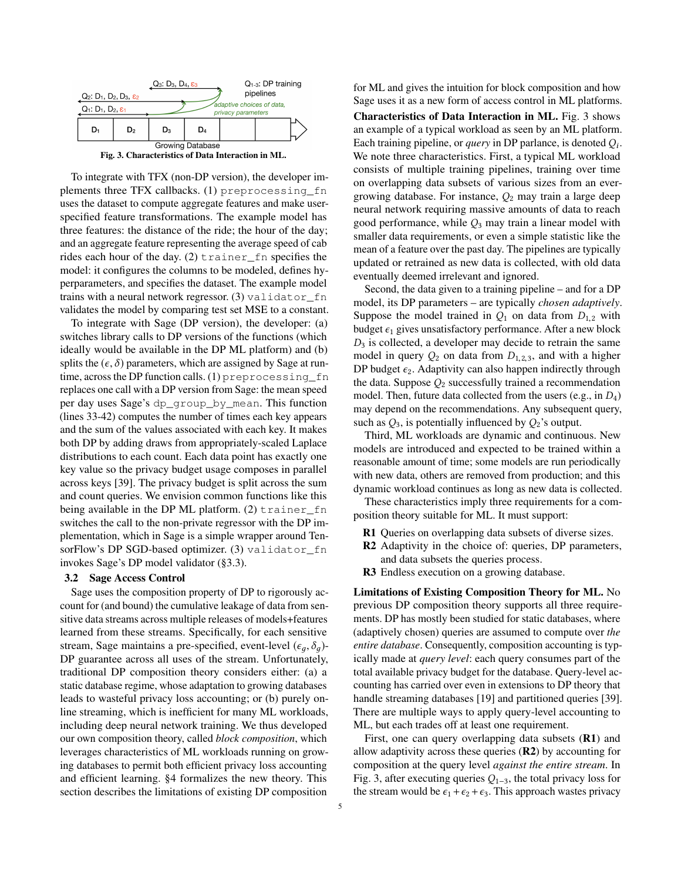<span id="page-4-1"></span>

Fig. 3. Characteristics of Data Interaction in ML.

To integrate with TFX (non-DP version), the developer implements three TFX callbacks. (1) preprocessing\_fn uses the dataset to compute aggregate features and make userspecified feature transformations. The example model has three features: the distance of the ride; the hour of the day; and an aggregate feature representing the average speed of cab rides each hour of the day. (2) trainer\_fn specifies the model: it configures the columns to be modeled, defines hyperparameters, and specifies the dataset. The example model trains with a neural network regressor. (3) validator\_fn validates the model by comparing test set MSE to a constant.

To integrate with Sage (DP version), the developer: (a) switches library calls to DP versions of the functions (which ideally would be available in the DP ML platform) and (b) splits the  $(\epsilon, \delta)$  parameters, which are assigned by Sage at runtime, across the DP function calls. (1) preprocessing\_fn replaces one call with a DP version from Sage: the mean speed per day uses Sage's dp\_group\_by\_mean. This function (lines 33-42) computes the number of times each key appears and the sum of the values associated with each key. It makes both DP by adding draws from appropriately-scaled Laplace distributions to each count. Each data point has exactly one key value so the privacy budget usage composes in parallel across keys [\[39\]](#page-13-15). The privacy budget is split across the sum and count queries. We envision common functions like this being available in the DP ML platform. (2) trainer fn switches the call to the non-private regressor with the DP implementation, which in Sage is a simple wrapper around TensorFlow's DP SGD-based optimizer. (3) validator\_fn invokes Sage's DP model validator ([§3.3\)](#page-5-0).

#### <span id="page-4-0"></span>3.2 Sage Access Control

Sage uses the composition property of DP to rigorously account for (and bound) the cumulative leakage of data from sensitive data streams across multiple releases of models+features learned from these streams. Specifically, for each sensitive stream, Sage maintains a pre-specified, event-level  $(\epsilon_a, \delta_a)$ -DP guarantee across all uses of the stream. Unfortunately, traditional DP composition theory considers either: (a) a static database regime, whose adaptation to growing databases leads to wasteful privacy loss accounting; or (b) purely online streaming, which is inefficient for many ML workloads, including deep neural network training. We thus developed our own composition theory, called *block composition*, which leverages characteristics of ML workloads running on growing databases to permit both efficient privacy loss accounting and efficient learning. [§4](#page-6-0) formalizes the new theory. This section describes the limitations of existing DP composition

for ML and gives the intuition for block composition and how Sage uses it as a new form of access control in ML platforms.

Characteristics of Data Interaction in ML. Fig. [3](#page-4-1) shows an example of a typical workload as seen by an ML platform. Each training pipeline, or *query* in DP parlance, is denoted  $Q_i$ . We note three characteristics. First, a typical ML workload consists of multiple training pipelines, training over time on overlapping data subsets of various sizes from an evergrowing database. For instance,  $Q_2$  may train a large deep neural network requiring massive amounts of data to reach good performance, while  $Q_3$  may train a linear model with smaller data requirements, or even a simple statistic like the mean of a feature over the past day. The pipelines are typically updated or retrained as new data is collected, with old data eventually deemed irrelevant and ignored.

Second, the data given to a training pipeline – and for a DP model, its DP parameters – are typically *chosen adaptively*. Suppose the model trained in  $Q_1$  on data from  $D_{1,2}$  with budget  $\epsilon_1$  gives unsatisfactory performance. After a new block  $D_3$  is collected, a developer may decide to retrain the same model in query  $Q_2$  on data from  $D_{1,2,3}$ , and with a higher DP budget  $\epsilon_2$ . Adaptivity can also happen indirectly through the data. Suppose  $Q_2$  successfully trained a recommendation model. Then, future data collected from the users (e.g., in  $D_4$ ) may depend on the recommendations. Any subsequent query, such as  $Q_3$ , is potentially influenced by  $Q_2$ 's output.

Third, ML workloads are dynamic and continuous. New models are introduced and expected to be trained within a reasonable amount of time; some models are run periodically with new data, others are removed from production; and this dynamic workload continues as long as new data is collected.

These characteristics imply three requirements for a composition theory suitable for ML. It must support:

- R1 Queries on overlapping data subsets of diverse sizes.
- R2 Adaptivity in the choice of: queries, DP parameters, and data subsets the queries process.
- R3 Endless execution on a growing database.

Limitations of Existing Composition Theory for ML. No previous DP composition theory supports all three requirements. DP has mostly been studied for static databases, where (adaptively chosen) queries are assumed to compute over *the entire database*. Consequently, composition accounting is typically made at *query level*: each query consumes part of the total available privacy budget for the database. Query-level accounting has carried over even in extensions to DP theory that handle streaming databases [\[19\]](#page-13-24) and partitioned queries [\[39\]](#page-13-15). There are multiple ways to apply query-level accounting to ML, but each trades off at least one requirement.

First, one can query overlapping data subsets (R1) and allow adaptivity across these queries  $(R2)$  by accounting for composition at the query level *against the entire stream*. In Fig. [3,](#page-4-1) after executing queries  $Q_{1-3}$ , the total privacy loss for the stream would be  $\epsilon_1 + \epsilon_2 + \epsilon_3$ . This approach wastes privacy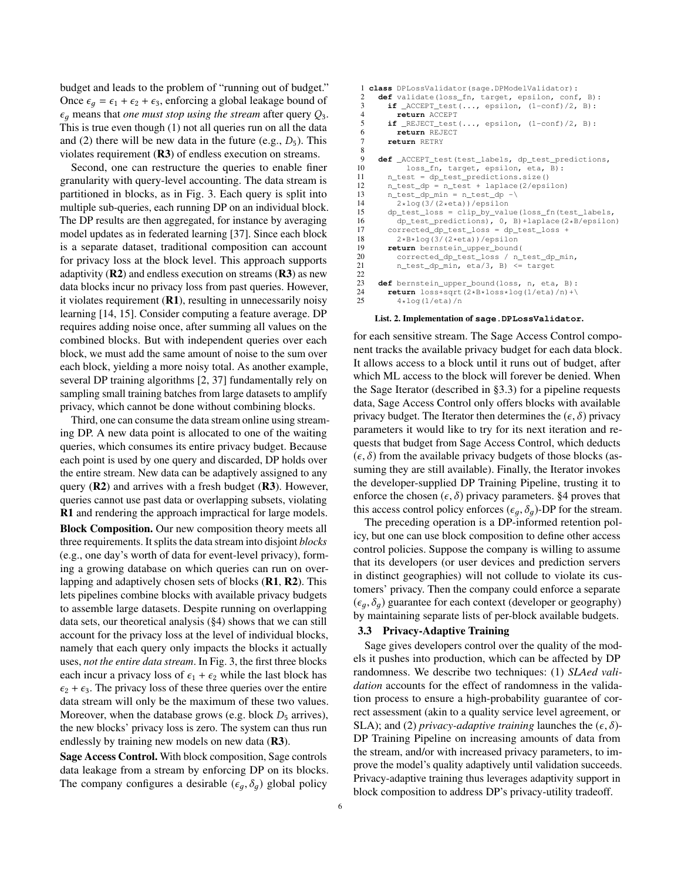budget and leads to the problem of "running out of budget." Once  $\epsilon_q = \epsilon_1 + \epsilon_2 + \epsilon_3$ , enforcing a global leakage bound of  $\epsilon_q$  means that *one must stop using the stream* after query  $Q_3$ . This is true even though (1) not all queries run on all the data and (2) there will be new data in the future (e.g.,  $D_5$ ). This violates requirement (R3) of endless execution on streams.

Second, one can restructure the queries to enable finer granularity with query-level accounting. The data stream is partitioned in blocks, as in Fig. [3.](#page-4-1) Each query is split into multiple sub-queries, each running DP on an individual block. The DP results are then aggregated, for instance by averaging model updates as in federated learning [\[37\]](#page-13-20). Since each block is a separate dataset, traditional composition can account for privacy loss at the block level. This approach supports adaptivity  $(R2)$  and endless execution on streams  $(R3)$  as new data blocks incur no privacy loss from past queries. However, it violates requirement  $(R1)$ , resulting in unnecessarily noisy learning [\[14,](#page-13-25) [15\]](#page-13-26). Consider computing a feature average. DP requires adding noise once, after summing all values on the combined blocks. But with independent queries over each block, we must add the same amount of noise to the sum over each block, yielding a more noisy total. As another example, several DP training algorithms [\[2,](#page-12-1) [37\]](#page-13-20) fundamentally rely on sampling small training batches from large datasets to amplify privacy, which cannot be done without combining blocks.

Third, one can consume the data stream online using streaming DP. A new data point is allocated to one of the waiting queries, which consumes its entire privacy budget. Because each point is used by one query and discarded, DP holds over the entire stream. New data can be adaptively assigned to any query  $(R2)$  and arrives with a fresh budget  $(R3)$ . However, queries cannot use past data or overlapping subsets, violating R1 and rendering the approach impractical for large models. Block Composition. Our new composition theory meets all three requirements. It splits the data stream into disjoint *blocks* (e.g., one day's worth of data for event-level privacy), forming a growing database on which queries can run on overlapping and adaptively chosen sets of blocks (R1, R2). This lets pipelines combine blocks with available privacy budgets to assemble large datasets. Despite running on overlapping data sets, our theoretical analysis ([§4\)](#page-6-0) shows that we can still account for the privacy loss at the level of individual blocks, namely that each query only impacts the blocks it actually uses, *not the entire data stream*. In Fig. [3,](#page-4-1) the first three blocks each incur a privacy loss of  $\epsilon_1 + \epsilon_2$  while the last block has  $\epsilon_2 + \epsilon_3$ . The privacy loss of these three queries over the entire data stream will only be the maximum of these two values. Moreover, when the database grows (e.g. block  $D_5$  arrives), the new blocks' privacy loss is zero. The system can thus run endlessly by training new models on new data (R3).

Sage Access Control. With block composition, Sage controls data leakage from a stream by enforcing DP on its blocks. The company configures a desirable ( $\epsilon_q$ ,  $\delta_q$ ) global policy

```
1 class DPLossValidator(sage.DPModelValidator):
 2 def validate(loss_fn, target, epsilon, conf, B):<br>3 if ACCEPT test(..., epsilon, (1-conf)/2, B):
 3 if \text{ACCEPT} \text{test}(\ldots, \text{ epsilon}, \text{ (1-conf)}/2, \text{ B):}<br>4 return \text{ACCEPT}4 return ACCEPT<br>5 if REJECT test
 5 if _REJECT_test(..., epsilon, (1-\text{conf})/2, B):<br>6 return REJECT
            6 return REJECT
 7 return RETRY
\frac{8}{9}9 def _ACCEPT_test(test_labels, dp_test_predictions,<br>10 does fn. target. epsilon. eta. B):
10 loss_fn, target, epsilon, eta, B):<br>11 n_test = dp_test_predictions.size()
          n_test = dp_test\_predictions.size()12 n_test_dp = n_test + laplace(2/epsilon)<br>13 n test dp min = n test dp -\
          n test dp min = n test_dp -
14 2 * log(3/(2 * eta)) / epsilon<br>15 do test loss = clip by value
          15 dp_test_loss = clip_by_value(loss_fn(test_labels,
16 dp_test_predictions), 0, B)+laplace(2*B/epsilon)<br>17 corrected dp test loss = dp test loss +
17 corrected_dp_test_loss = dp_test_loss +<br>18 2*B*log(3/(2*eta))/epsilon
18 2*B*log(3/(2*eta))/epsilon<br>19 return bernstein upper bound
          19 return bernstein_upper_bound(
20 corrected_dp_test_loss / n_test_dp_min,<br>21 n test dp min, eta/3, B) <= target
             n_test_dp_min, eta/3, B) <= target
22
23 def bernstein_upper_bound(loss, n, eta, B):<br>24 return loss+sgrt(2+B+loss+log(1/eta)/n)+\
24 return loss+sqrt(2*B*loss*log(1/eta)/n)+\sqrt{25} 4*log(1/eta)/n
             4*log(1/eta)/n
```
## List. 2. Implementation of **sage.DPLossValidator**.

for each sensitive stream. The Sage Access Control component tracks the available privacy budget for each data block. It allows access to a block until it runs out of budget, after which ML access to the block will forever be denied. When the Sage Iterator (described in [§3.3\)](#page-5-0) for a pipeline requests data, Sage Access Control only offers blocks with available privacy budget. The Iterator then determines the  $(\epsilon, \delta)$  privacy parameters it would like to try for its next iteration and requests that budget from Sage Access Control, which deducts  $(\epsilon, \delta)$  from the available privacy budgets of those blocks (assuming they are still available). Finally, the Iterator invokes the developer-supplied DP Training Pipeline, trusting it to enforce the chosen  $(\epsilon, \delta)$  privacy parameters. [§4](#page-6-0) proves that this access control policy enforces ( $\epsilon_a$ ,  $\delta_a$ )-DP for the stream.

The preceding operation is a DP-informed retention policy, but one can use block composition to define other access control policies. Suppose the company is willing to assume that its developers (or user devices and prediction servers in distinct geographies) will not collude to violate its customers' privacy. Then the company could enforce a separate  $(\epsilon_a, \delta_a)$  guarantee for each context (developer or geography) by maintaining separate lists of per-block available budgets.

#### <span id="page-5-0"></span>3.3 Privacy-Adaptive Training

Sage gives developers control over the quality of the models it pushes into production, which can be affected by DP randomness. We describe two techniques: (1) *SLAed validation* accounts for the effect of randomness in the validation process to ensure a high-probability guarantee of correct assessment (akin to a quality service level agreement, or SLA); and (2) *privacy-adaptive training* launches the  $(\epsilon, \delta)$ -DP Training Pipeline on increasing amounts of data from the stream, and/or with increased privacy parameters, to improve the model's quality adaptively until validation succeeds. Privacy-adaptive training thus leverages adaptivity support in block composition to address DP's privacy-utility tradeoff.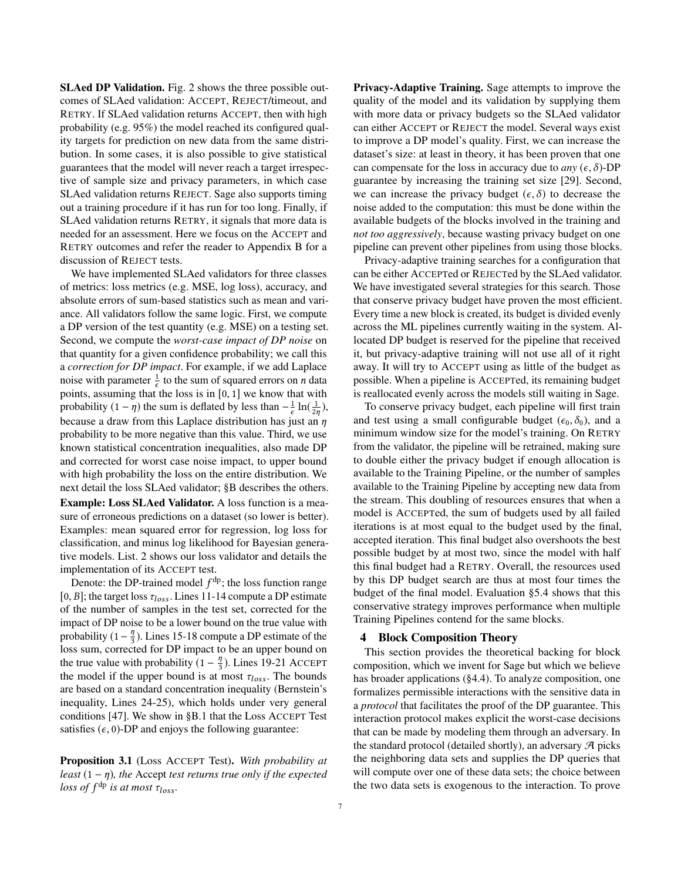SLAed DP Validation. Fig. [2](#page-3-0) shows the three possible outcomes of SLAed validation: ACCEPT, REJECT/timeout, and RETRY. If SLAed validation returns ACCEPT, then with high probability (e.g. 95%) the model reached its configured quality targets for prediction on new data from the same distribution. In some cases, it is also possible to give statistical guarantees that the model will never reach a target irrespective of sample size and privacy parameters, in which case SLAed validation returns REJECT. Sage also supports timing out a training procedure if it has run for too long. Finally, if SLAed validation returns RETRY, it signals that more data is needed for an assessment. Here we focus on the ACCEPT and RETRY outcomes and refer the reader to Appendix [B](#page-15-0) for a discussion of REJECT tests.

We have implemented SLAed validators for three classes of metrics: loss metrics (e.g. MSE, log loss), accuracy, and absolute errors of sum-based statistics such as mean and variance. All validators follow the same logic. First, we compute a DP version of the test quantity (e.g. MSE) on a testing set. Second, we compute the *worst-case impact of DP noise* on that quantity for a given confidence probability; we call this a *correction for DP impact*. For example, if we add Laplace noise with parameter  $\frac{1}{\epsilon}$  to the sum of squared errors on *n* data points, assuming that the loss is in [0, <sup>1</sup>] we know that with probability  $(1 - \eta)$  the sum is deflated by less than  $-\frac{1}{\epsilon} \ln(\frac{1}{2\eta})$ , because a draw from this Laplace distribution has just an  $\eta$ probability to be more negative than this value. Third, we use known statistical concentration inequalities, also made DP and corrected for worst case noise impact, to upper bound with high probability the loss on the entire distribution. We next detail the loss SLAed validator; [§B](#page-15-0) describes the others. Example: Loss SLAed Validator. A loss function is a measure of erroneous predictions on a dataset (so lower is better). Examples: mean squared error for regression, log loss for classification, and minus log likelihood for Bayesian generative models. List. [2](#page-5-1) shows our loss validator and details the implementation of its ACCEPT test.

Denote: the DP-trained model  $f^{dp}$ ; the loss function range [0, B]; the target loss  $\tau_{loss}$ . Lines 11-14 compute a DP estimate of the number of samples in the test set, corrected for the impact of DP noise to be a lower bound on the true value with probability (1 –  $\frac{\eta}{3}$  $\frac{n}{3}$ ). Lines 15-18 compute a DP estimate of the loss sum, corrected for DP impact to be an upper bound on the true value with probability  $(1 - \frac{\eta}{3})$  $\frac{\eta}{3}$ ). Lines 19-21 ACCEPT the model if the upper bound is at most  $\tau_{loss}$ . The bounds are based on a standard concentration inequality (Bernstein's inequality, Lines 24-25), which holds under very general conditions [\[47\]](#page-13-27). We show in [§B.1](#page-15-1) that the Loss ACCEPT Test satisfies  $(\epsilon, 0)$ -DP and enjoys the following guarantee:

<span id="page-6-1"></span>Proposition 3.1 (Loss ACCEPT Test). *With probability at least*  $(1 - \eta)$ *, the* Accept *test returns true only if the expected*  $\textit{loss of } f^{\text{dp}}$  *is at most*  $\tau_{\textit{loss}}$ *.* 

Privacy-Adaptive Training. Sage attempts to improve the quality of the model and its validation by supplying them with more data or privacy budgets so the SLAed validator can either ACCEPT or REJECT the model. Several ways exist to improve a DP model's quality. First, we can increase the dataset's size: at least in theory, it has been proven that one can compensate for the loss in accuracy due to  $any \ (\epsilon, \delta)$ -DP guarantee by increasing the training set size [\[29\]](#page-13-28). Second, we can increase the privacy budget  $(\epsilon, \delta)$  to decrease the noise added to the computation: this must be done within the available budgets of the blocks involved in the training and *not too aggressively*, because wasting privacy budget on one pipeline can prevent other pipelines from using those blocks.

Privacy-adaptive training searches for a configuration that can be either ACCEPTed or REJECTed by the SLAed validator. We have investigated several strategies for this search. Those that conserve privacy budget have proven the most efficient. Every time a new block is created, its budget is divided evenly across the ML pipelines currently waiting in the system. Allocated DP budget is reserved for the pipeline that received it, but privacy-adaptive training will not use all of it right away. It will try to ACCEPT using as little of the budget as possible. When a pipeline is ACCEPTed, its remaining budget is reallocated evenly across the models still waiting in Sage.

To conserve privacy budget, each pipeline will first train and test using a small configurable budget ( $\epsilon_0$ ,  $\delta_0$ ), and a minimum window size for the model's training. On RETRY from the validator, the pipeline will be retrained, making sure to double either the privacy budget if enough allocation is available to the Training Pipeline, or the number of samples available to the Training Pipeline by accepting new data from the stream. This doubling of resources ensures that when a model is ACCEPTed, the sum of budgets used by all failed iterations is at most equal to the budget used by the final, accepted iteration. This final budget also overshoots the best possible budget by at most two, since the model with half this final budget had a RETRY. Overall, the resources used by this DP budget search are thus at most four times the budget of the final model. Evaluation [§5.4](#page-11-0) shows that this conservative strategy improves performance when multiple Training Pipelines contend for the same blocks.

#### <span id="page-6-0"></span>4 Block Composition Theory

This section provides the theoretical backing for block composition, which we invent for Sage but which we believe has broader applications ([§4.4\)](#page-8-0). To analyze composition, one formalizes permissible interactions with the sensitive data in a *protocol* that facilitates the proof of the DP guarantee. This interaction protocol makes explicit the worst-case decisions that can be made by modeling them through an adversary. In the standard protocol (detailed shortly), an adversary  $\mathcal{A}$  picks the neighboring data sets and supplies the DP queries that will compute over one of these data sets; the choice between the two data sets is exogenous to the interaction. To prove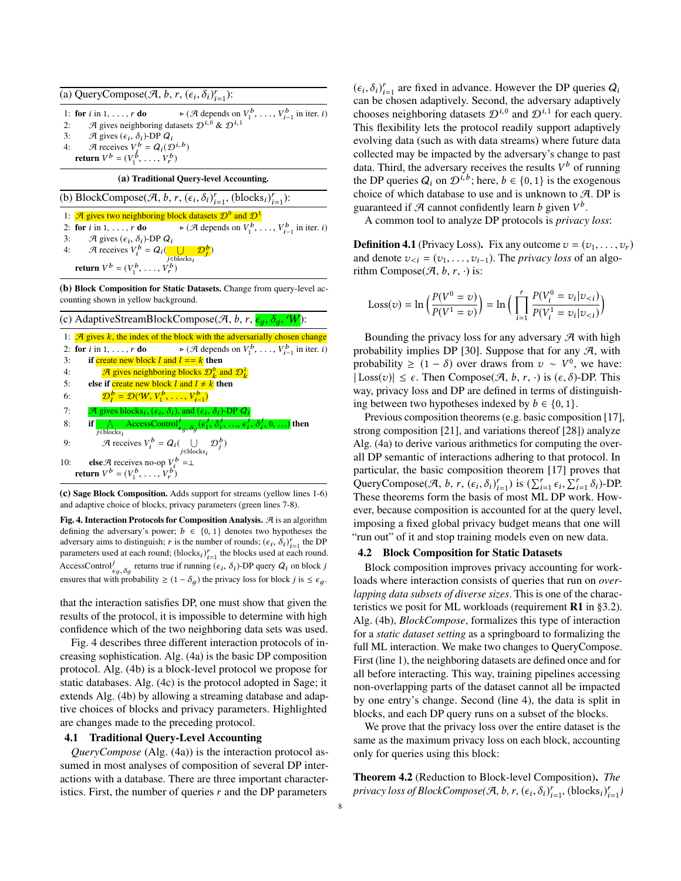<span id="page-7-0"></span>(a) QueryCompose( $\mathcal{A}, b, r, (\epsilon_i, \delta_i)_{i=1}^r$ ):

1: **for** *i* in 1, . . . , *r* **do**  $\triangleright (\mathcal{A} \text{ depends on } V)$ <br>2:  $\mathcal{A} \text{ gives neighboring datasets } \mathcal{D}^{i,0} \& \mathcal{D}^{i,1}$  $V_{i-1}^b$ , ...,  $V_{i-1}^b$  in iter. *i*)

3: A gives  $(\epsilon_i, \delta_i)$ -DP  $Q_i$ <br>4: A receives  $V_i^b = Q_i(\mathcal{D}^{i,b})$ <br>return  $V^b - (V^b V^b)$ 

return  $V^b = (V_1^b, \ldots, V_r^b)$ 

(a) Traditional Query-level Accounting.

(b) BlockCompose( $\mathcal{A}, b, r, (\epsilon_i, \delta_i)_{i=1}^r$ , (blocks<sub>i</sub>)<sub> $i=1$ </sub>): 1:  $\mathcal{A}$  gives two neighboring block datasets  $\mathcal{D}^0$  and  $\mathcal{D}^1$ 2: for *i* in 1, . . . , *r* do<br>3:  $\mathcal{A}$  gives  $(\epsilon_i, \delta_i)$  $V_{i-1}^b$ , ...,  $V_{i-1}^b$  in iter. *i*) 3: A gives  $(\epsilon_i, \delta_i)$ -DP  $Q_i$ <br>4: A receives  $V^b = Q_i$ 4: A receives  $V_i^b = Q_i \left( \bigcup_{j \in \text{block}} \right)$ j∈blocks<sub>i</sub><br>7b∖  $\mathcal{D}^b_j)$ return  $V^b = (V_1^b, \ldots, V_r^b)$ 

(b) Block Composition for Static Datasets. Change from query-level accounting shown in yellow background.

r

|     | (c) AdaptiveStreamBlockCompose( $\mathcal{A}, b, r, \epsilon_q, \delta_q$ , W):                                                                                                                 |
|-----|-------------------------------------------------------------------------------------------------------------------------------------------------------------------------------------------------|
|     | 1: $\mathcal{A}$ gives k, the index of the block with the adversarially chosen change                                                                                                           |
|     | 2: for <i>i</i> in 1, , <i>r</i> <b>do</b> $\triangleright$ ( <i>A</i> depends on $V_1^b$ , , $V_{i-1}^b$ in iter. <i>i</i> )                                                                   |
| 3:  | if create new block l and $l == k$ then                                                                                                                                                         |
| 4:  | A gives neighboring blocks $\mathcal{D}_{\mu}^{0}$ and $\mathcal{D}_{\mu}^{1}$                                                                                                                  |
| 5:  | else if create new block l and $l \neq k$ then                                                                                                                                                  |
| 6:  | $\mathcal{D}_1^b = \mathcal{D}(\mathcal{W}, V_1^b, \ldots, V_{i-1}^b)$                                                                                                                          |
| 7:  | A gives blocks <sub>i</sub> , $(\epsilon_i, \delta_i)$ , and $(\epsilon_i, \delta_i)$ -DP $Q_i$                                                                                                 |
| 8:  | if $\bigwedge$ AccessControl <sup>j</sup> <sub><math>\epsilon_q</math>, <math>\delta_q</math></sub> $(\epsilon_1^j, \delta_1^j, , \epsilon_i^j, \delta_i^j, 0, )$ then<br>$i \in \text{blocks}$ |
| 9:  | A receives $V_i^b = Q_i(\bigcup_{j \in \text{blocks}_i} \mathcal{D}_j^b)$                                                                                                                       |
| 10: | else A receives no-op $V_i^b = \perp$                                                                                                                                                           |
|     | <b>return</b> $V^b = (V_1^b, \ldots, V_r^b)$                                                                                                                                                    |

(c) Sage Block Composition. Adds support for streams (yellow lines 1-6) and adaptive choice of blocks, privacy parameters (green lines 7-8).

Fig. 4. Interaction Protocols for Composition Analysis.  $\mathcal A$  is an algorithm defining the adversary's power;  $b \in \{0, 1\}$  denotes two hypotheses the adversary aims to distinguish; r is the number of rounds;  $(\epsilon_i, \delta_i)_{i=1}^r$  the DP<br>parameters used at each round; (blocks, )<sup>r</sup>, the blocks used at each round parameters used at each round; (blocksi)  $r_{i=1}^r$  the blocks used at each round.<br>parameters used at each round; (blocksi)  $r_{i=1}^r$  the blocks used at each round. AccessControl<sup>*i*</sup><sub> $\epsilon_g$ </sub>,  $\delta_g$  returns true if running  $(\epsilon_i, \delta_i)$ -DP query  $Q_i$  on block *j* ensures that with probability  $\geq (1 - \delta_g)$  the privacy loss for block j is  $\leq \epsilon_g$ .

that the interaction satisfies DP, one must show that given the results of the protocol, it is impossible to determine with high confidence which of the two neighboring data sets was used.

Fig. [4](#page-7-0) describes three different interaction protocols of increasing sophistication. Alg. [\(4a\)](#page-7-0) is the basic DP composition protocol. Alg. [\(4b\)](#page-7-0) is a block-level protocol we propose for static databases. Alg. [\(4c\)](#page-7-0) is the protocol adopted in Sage; it extends Alg. [\(4b\)](#page-7-0) by allowing a streaming database and adaptive choices of blocks and privacy parameters. Highlighted are changes made to the preceding protocol.

#### 4.1 Traditional Query-Level Accounting

*QueryCompose* (Alg. [\(4a\)](#page-7-0)) is the interaction protocol assumed in most analyses of composition of several DP interactions with a database. There are three important characteristics. First, the number of queries  $r$  and the DP parameters

 $(\epsilon_i, \delta_i)_{i=1}^r$  are fixed in advance. However the DP queries  $Q_i$ <br>can be chosen adaptively. Second, the adversary adaptively can be chosen adaptively. Second, the adversary adaptively chooses neighboring datasets  $\mathcal{D}^{i,0}$  and  $\mathcal{D}^{i,1}$  for each query. This flexibility lets the protocol readily support adaptively evolving data (such as with data streams) where future data collected may be impacted by the adversary's change to past data. Third, the adversary receives the results  $V^b$  of running the DP queries  $Q_i$  on  $\mathcal{D}^{i,b}$ ; here,  $b \in \{0,1\}$  is the exogenous choice of which database to use and is unknown to  $\mathcal{A}$ . DP is choice of which database to use and is unknown to  $A$ . DP is guaranteed if  $\mathcal A$  cannot confidently learn b given  $V^b$ .

A common tool to analyze DP protocols is *privacy loss*:

<span id="page-7-2"></span>**Definition 4.1** (Privacy Loss). Fix any outcome  $v = (v_1, \ldots, v_r)$ and denote  $v_{\leq i} = (v_1, \ldots, v_{i-1})$ . The *privacy loss* of an algorithm Compose( $\mathcal{A}, b, r, \cdot$ ) is:

Loss(v) = 
$$
\ln \left( \frac{P(V^0 = v)}{P(V^1 = v)} \right)
$$
 =  $\ln \left( \prod_{i=1}^r \frac{P(V_i^0 = v_i | v_{&i})}{P(V_i^1 = v_i | v_{&i})} \right)$ 

Bounding the privacy loss for any adversary  $\mathcal A$  with high probability implies DP [\[30\]](#page-13-29). Suppose that for any  $\mathcal{A}$ , with probability  $\geq (1 - \delta)$  over draws from  $v \sim V^0$ , we have:  $| \text{Loss}(v) | \leq \epsilon$ . Then Compose( $\mathcal{A}, b, r, \cdot$ ) is  $(\epsilon, \delta)$ -DP. This way, privacy loss and DP are defined in terms of distinguishing between two hypotheses indexed by  $b \in \{0, 1\}.$ 

Previous composition theorems (e.g. basic composition [\[17\]](#page-13-30), strong composition [\[21\]](#page-13-31), and variations thereof [\[28\]](#page-13-32)) analyze Alg. [\(4a\)](#page-7-0) to derive various arithmetics for computing the overall DP semantic of interactions adhering to that protocol. In particular, the basic composition theorem [\[17\]](#page-13-30) proves that QueryCompose( $\mathcal{A}, b, r, (\epsilon_i, \delta_i)_{i=1}^r$ ) is  $(\sum_{i=1}^r \epsilon_i, \sum_{i=1}^r \delta_i)$ -DP.<br>These theorems form the basis of most ML DP work. How-These theorems form the basis of most ML DP work. However, because composition is accounted for at the query level, imposing a fixed global privacy budget means that one will "run out" of it and stop training models even on new data.

## 4.2 Block Composition for Static Datasets

Block composition improves privacy accounting for workloads where interaction consists of queries that run on *overlapping data subsets of diverse sizes*. This is one of the characteristics we posit for ML workloads (requirement R1 in [§3.2\)](#page-4-0). Alg. [\(4b\)](#page-7-0), *BlockCompose*, formalizes this type of interaction for a *static dataset setting* as a springboard to formalizing the full ML interaction. We make two changes to QueryCompose. First (line 1), the neighboring datasets are defined once and for all before interacting. This way, training pipelines accessing non-overlapping parts of the dataset cannot all be impacted by one entry's change. Second (line 4), the data is split in blocks, and each DP query runs on a subset of the blocks.

We prove that the privacy loss over the entire dataset is the same as the maximum privacy loss on each block, accounting only for queries using this block:

<span id="page-7-1"></span>Theorem 4.2 (Reduction to Block-level Composition). *The privacy loss of BlockCompose*( $\mathcal{A}, b, r, (\epsilon_i, \delta_i)_{i=1}^r$ , (blocks<sub>i</sub>) $_{i=1}^r$ )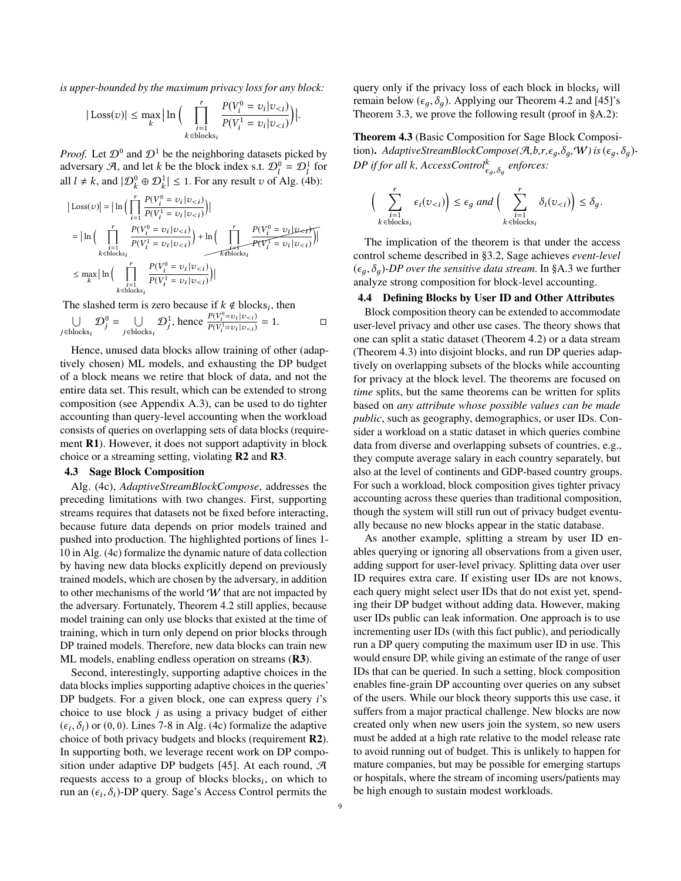*is upper-bounded by the maximum privacy loss for any block:*

$$
|\text{Loss}(v)| \le \max_{k} \left| \ln \left( \prod_{\substack{i=1 \\ k \in \text{blocks}_i}} \frac{P(V_i^0 = v_i | v_{&i})}{P(V_i^1 = v_i | v_{&i})} \right) \right|
$$

*Proof.* Let  $\mathcal{D}^0$  and  $\mathcal{D}^1$  be the neighboring datasets picked by adversary A, and let k be the block index s.t.  $\mathcal{D}_l^0 = \mathcal{D}_l^1$  for all  $l \neq k$ , and  $|\mathcal{D}_k^0 \oplus \mathcal{D}_k^1| \leq 1$ . For any result  $v$  of Alg. [\(4b\)](#page-7-0):

$$
|\text{Loss}(v)| = |\ln\left(\prod_{i=1}^r \frac{P(V_i^0 = v_i | v_{< i})}{P(V_i^1 = v_i | v_{< i})}\right)|
$$
  
\n
$$
= |\ln\left(\prod_{\substack{i=1 \ k \in \text{blocks}_i}}^r \frac{P(V_i^0 = v_i | v_{< i})}{P(V_i^1 = v_i | v_{< i})}\right) + \ln\left(\prod_{\substack{i=1 \ k \in \text{blocks}_i}}^r \frac{P(V_i^0 = v_i | v_{< i})}{P(V_i^T = v_i | v_{< i})}\right)|
$$
  
\n
$$
\le \max_k |\ln\left(\prod_{\substack{i=1 \ k \in \text{blocks}_i}}^r \frac{P(V_i^0 = v_i | v_{< i})}{P(V_i^1 = v_i | v_{< i})}\right)|
$$

The slashed term is zero because if  $k \notin \text{blocks}_i$ , then

$$
\bigcup_{j \in \text{blocks}_i} \mathcal{D}_j^0 = \bigcup_{j \in \text{blocks}_i} \mathcal{D}_j^1, \text{ hence } \frac{P(V_i^0 = v_i | v_{< i})}{P(V_i^1 = v_i | v_{< i})} = 1. \qquad \Box
$$

Hence, unused data blocks allow training of other (adaptively chosen) ML models, and exhausting the DP budget of a block means we retire that block of data, and not the entire data set. This result, which can be extended to strong composition (see Appendix [A.3\)](#page-15-2), can be used to do tighter accounting than query-level accounting when the workload consists of queries on overlapping sets of data blocks (requirement R1). However, it does not support adaptivity in block choice or a streaming setting, violating R2 and R3.

#### 4.3 Sage Block Composition

Alg. [\(4c\)](#page-7-0), *AdaptiveStreamBlockCompose*, addresses the preceding limitations with two changes. First, supporting streams requires that datasets not be fixed before interacting, because future data depends on prior models trained and pushed into production. The highlighted portions of lines 1- 10 in Alg. [\(4c\)](#page-7-0) formalize the dynamic nature of data collection by having new data blocks explicitly depend on previously trained models, which are chosen by the adversary, in addition to other mechanisms of the world  $W$  that are not impacted by the adversary. Fortunately, Theorem [4.2](#page-7-1) still applies, because model training can only use blocks that existed at the time of training, which in turn only depend on prior blocks through DP trained models. Therefore, new data blocks can train new ML models, enabling endless operation on streams (R3).

Second, interestingly, supporting adaptive choices in the data blocks implies supporting adaptive choices in the queries' DP budgets. For a given block, one can express query *i*'s choice to use block  $j$  as using a privacy budget of either  $(\epsilon_i, \delta_i)$  or (0, 0). Lines 7-8 in Alg. [\(4c\)](#page-7-0) formalize the adaptive<br>choice of both privacy budgets and blocks (requirement **R2**) choice of both privacy budgets and blocks (requirement R2). In supporting both, we leverage recent work on DP compo-sition under adaptive DP budgets [\[45\]](#page-13-9). At each round,  $\mathcal{A}$ requests access to a group of blocks blocks $_i$ , on which to run an  $(\epsilon_i, \delta_i)$ -DP query. Sage's Access Control permits the

query only if the privacy loss of each block in blocks, will remain below ( $\epsilon_q$ ,  $\delta_q$ ). Applying our Theorem [4.2](#page-7-1) and [\[45\]](#page-13-9)'s Theorem 3.3, we prove the following result (proof in [§A.2\)](#page-14-8):

<span id="page-8-1"></span>Theorem 4.3 (Basic Composition for Sage Block Composition). *AdaptiveStreamBlockCompose*( $\mathcal{A}, b, r, \epsilon_q, \delta_q, W$ ) is  $(\epsilon_q, \delta_q)$ -*DP if for all k, AccessControl***<sup>k</sup><sub>εg,δg</sub> enforces:** 

$$
\Big(\sum_{\substack{i=1\\k\in\text{blocks}_i}}^r \epsilon_i(v_{< i})\Big) \le \epsilon_g \text{ and } \Big(\sum_{\substack{i=1\\k\in\text{blocks}_i}}^r \delta_i(v_{< i})\Big) \le \delta_g.
$$

The implication of the theorem is that under the access control scheme described in [§3.2,](#page-4-0) Sage achieves *event-level*  $(\epsilon_q, \delta_q)$ -DP over the sensitive data stream. In [§A.3](#page-15-2) we further analyze strong composition for block-level accounting.

## <span id="page-8-0"></span>4.4 Defining Blocks by User ID and Other Attributes

Block composition theory can be extended to accommodate user-level privacy and other use cases. The theory shows that one can split a static dataset (Theorem [4.2\)](#page-7-1) or a data stream (Theorem [4.3\)](#page-8-1) into disjoint blocks, and run DP queries adaptively on overlapping subsets of the blocks while accounting for privacy at the block level. The theorems are focused on *time* splits, but the same theorems can be written for splits based on *any attribute whose possible values can be made public*, such as geography, demographics, or user IDs. Consider a workload on a static dataset in which queries combine data from diverse and overlapping subsets of countries, e.g., they compute average salary in each country separately, but also at the level of continents and GDP-based country groups. For such a workload, block composition gives tighter privacy accounting across these queries than traditional composition, though the system will still run out of privacy budget eventually because no new blocks appear in the static database.

As another example, splitting a stream by user ID enables querying or ignoring all observations from a given user, adding support for user-level privacy. Splitting data over user ID requires extra care. If existing user IDs are not knows, each query might select user IDs that do not exist yet, spending their DP budget without adding data. However, making user IDs public can leak information. One approach is to use incrementing user IDs (with this fact public), and periodically run a DP query computing the maximum user ID in use. This would ensure DP, while giving an estimate of the range of user IDs that can be queried. In such a setting, block composition enables fine-grain DP accounting over queries on any subset of the users. While our block theory supports this use case, it suffers from a major practical challenge. New blocks are now created only when new users join the system, so new users must be added at a high rate relative to the model release rate to avoid running out of budget. This is unlikely to happen for mature companies, but may be possible for emerging startups or hospitals, where the stream of incoming users/patients may be high enough to sustain modest workloads.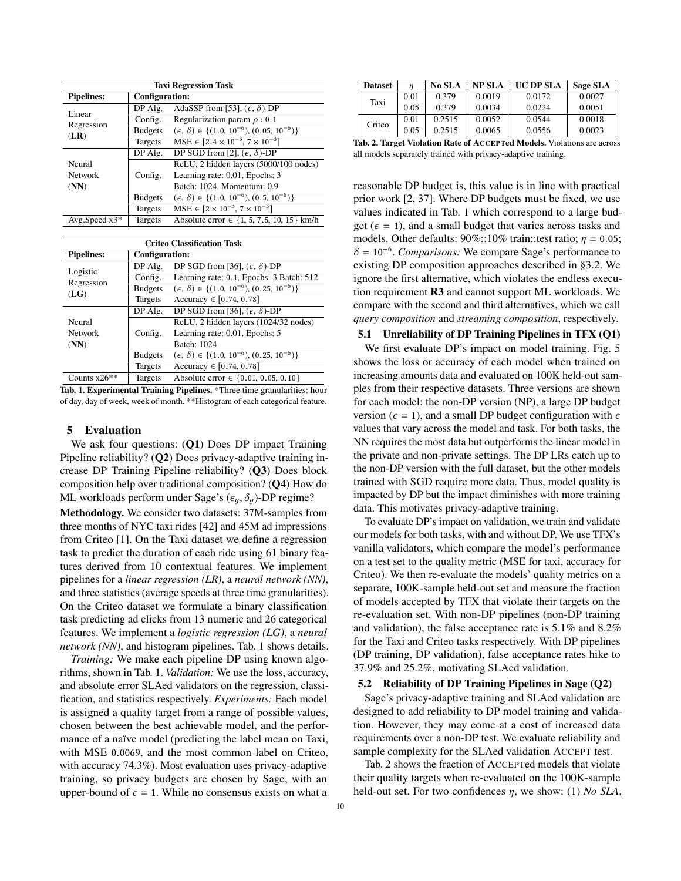<span id="page-9-0"></span>

| <b>Taxi Regression Task</b> |                |                                                              |  |  |  |  |  |
|-----------------------------|----------------|--------------------------------------------------------------|--|--|--|--|--|
| <b>Pipelines:</b>           | Configuration: |                                                              |  |  |  |  |  |
| Linear                      | DP Alg.        | AdaSSP from [53], $(\epsilon, \delta)$ -DP                   |  |  |  |  |  |
| Regression                  | Config.        | Regularization param $\rho$ : 0.1                            |  |  |  |  |  |
| (LR)                        | <b>Budgets</b> | $(\epsilon, \delta) \in \{(1.0, 10^{-6}), (0.05, 10^{-6})\}$ |  |  |  |  |  |
|                             | Targets        | $MSE \in [2.4 \times 10^{-3}, 7 \times 10^{-3}]$             |  |  |  |  |  |
|                             | DP Alg.        | DP SGD from [2], $(\epsilon, \delta)$ -DP                    |  |  |  |  |  |
| Neural                      |                | ReLU, 2 hidden layers (5000/100 nodes)                       |  |  |  |  |  |
| <b>Network</b>              | Config.        | Learning rate: 0.01, Epochs: 3                               |  |  |  |  |  |
| (NN)                        |                | Batch: 1024, Momentum: 0.9                                   |  |  |  |  |  |
|                             | <b>Budgets</b> | $(\epsilon, \delta) \in \{(1.0, 10^{-6}), (0.5, 10^{-6})\}$  |  |  |  |  |  |
|                             | Targets        | $MSE \in [2 \times 10^{-3}, 7 \times 10^{-3}]$               |  |  |  |  |  |
| Avg.Speed $x3*$             | Targets        | Absolute error $\in \{1, 5, 7.5, 10, 15\}$ km/h              |  |  |  |  |  |
|                             |                |                                                              |  |  |  |  |  |

| <b>Criteo Classification Task</b> |                |                                                              |  |  |  |  |  |
|-----------------------------------|----------------|--------------------------------------------------------------|--|--|--|--|--|
| <b>Pipelines:</b>                 |                | Configuration:                                               |  |  |  |  |  |
| Logistic                          | DP Alg.        | DP SGD from [36], $(\epsilon, \delta)$ -DP                   |  |  |  |  |  |
| Regression                        | Config.        | Learning rate: 0.1, Epochs: 3 Batch: 512                     |  |  |  |  |  |
| (LG)                              | <b>Budgets</b> | $(\epsilon, \delta) \in \{(1.0, 10^{-6}), (0.25, 10^{-6})\}$ |  |  |  |  |  |
|                                   | Targets        | Accuracy $\in$ [0.74, 0.78]                                  |  |  |  |  |  |
|                                   | DP Alg.        | DP SGD from [36], $(\epsilon, \delta)$ -DP                   |  |  |  |  |  |
| Neural                            |                | ReLU, 2 hidden layers (1024/32 nodes)                        |  |  |  |  |  |
| <b>Network</b>                    | Config.        | Learning rate: 0.01, Epochs: 5                               |  |  |  |  |  |
| (NN)                              |                | Batch: 1024                                                  |  |  |  |  |  |
|                                   | <b>Budgets</b> | $(\epsilon, \delta) \in \{(1.0, 10^{-6}), (0.25, 10^{-6})\}$ |  |  |  |  |  |
|                                   | Targets        | Accuracy $\in [0.74, 0.78]$                                  |  |  |  |  |  |
| Counts $x26**$                    | Targets        | Absolute error $\in \{0.01, 0.05, 0.10\}$                    |  |  |  |  |  |

Counts x26<sup>\*\*</sup> Targets Absolute error ∈ {0.01, 0.05, 0.10}<br>Tab. 1. Experimental Training Pipelines. \*Three time granularities: hour of day, day of week, week of month. \*\*Histogram of each categorical feature.

#### 5 Evaluation

We ask four questions: (Q1) Does DP impact Training Pipeline reliability? (Q2) Does privacy-adaptive training increase DP Training Pipeline reliability? (Q3) Does block composition help over traditional composition? (Q4) How do ML workloads perform under Sage's ( $\epsilon_q$ ,  $\delta_q$ )-DP regime? Methodology. We consider two datasets: 37M-samples from three months of NYC taxi rides [\[42\]](#page-13-23) and 45M ad impressions from Criteo [\[1\]](#page-12-5). On the Taxi dataset we define a regression task to predict the duration of each ride using 61 binary features derived from 10 contextual features. We implement pipelines for a *linear regression (LR)*, a *neural network (NN)*, and three statistics (average speeds at three time granularities). On the Criteo dataset we formulate a binary classification task predicting ad clicks from 13 numeric and 26 categorical features. We implement a *logistic regression (LG)*, a *neural network (NN)*, and histogram pipelines. Tab. [1](#page-9-0) shows details.

*Training:* We make each pipeline DP using known algorithms, shown in Tab. [1.](#page-9-0) *Validation:* We use the loss, accuracy, and absolute error SLAed validators on the regression, classification, and statistics respectively. *Experiments:* Each model is assigned a quality target from a range of possible values, chosen between the best achievable model, and the performance of a naïve model (predicting the label mean on Taxi, with MSE <sup>0</sup>.0069, and the most common label on Criteo, with accuracy 74.3%). Most evaluation uses privacy-adaptive training, so privacy budgets are chosen by Sage, with an upper-bound of  $\epsilon = 1$ . While no consensus exists on what a

<span id="page-9-1"></span>

| <b>Dataset</b>                       |      | <b>No SLA</b> | <b>NP SLA</b> | <b>UC DP SLA</b> | Sage SLA |  |  |
|--------------------------------------|------|---------------|---------------|------------------|----------|--|--|
| Taxi                                 | 0.01 | 0.379         | 0.0019        | 0.0172           | 0.0027   |  |  |
|                                      | 0.05 | 0.379         | 0.0034        | 0.0224           | 0.0051   |  |  |
| Criteo                               | 0.01 | 0.2515        | 0.0052        | 0.0544           | 0.0018   |  |  |
|                                      | 0.05 | 0.2515        | 0.0065        | 0.0556           | 0.0023   |  |  |
| .<br>$1.779$ $1.9$<br>$\blacksquare$ |      |               |               |                  |          |  |  |

Tab. 2. Target Violation Rate of ACCEPTed Models. Violations are across all models separately trained with privacy-adaptive training.

reasonable DP budget is, this value is in line with practical prior work [\[2,](#page-12-1) [37\]](#page-13-20). Where DP budgets must be fixed, we use values indicated in Tab. [1](#page-9-0) which correspond to a large budget ( $\epsilon = 1$ ), and a small budget that varies across tasks and models. Other defaults:  $90\%::10\%$  train::test ratio;  $\eta = 0.05$ ;  $\delta = 10^{-6}$ . *Comparisons:* We compare Sage's performance to existing DP composition approaches described in [§3.2.](#page-4-0) We ignore the first alternative, which violates the endless execution requirement R3 and cannot support ML workloads. We compare with the second and third alternatives, which we call *query composition* and *streaming composition*, respectively.

### 5.1 Unreliability of DP Training Pipelines in TFX (Q1)

We first evaluate DP's impact on model training. Fig. [5](#page-10-0) shows the loss or accuracy of each model when trained on increasing amounts data and evaluated on 100K held-out samples from their respective datasets. Three versions are shown for each model: the non-DP version (NP), a large DP budget version ( $\epsilon = 1$ ), and a small DP budget configuration with  $\epsilon$ values that vary across the model and task. For both tasks, the NN requires the most data but outperforms the linear model in the private and non-private settings. The DP LRs catch up to the non-DP version with the full dataset, but the other models trained with SGD require more data. Thus, model quality is impacted by DP but the impact diminishes with more training data. This motivates privacy-adaptive training.

To evaluate DP's impact on validation, we train and validate our models for both tasks, with and without DP. We use TFX's vanilla validators, which compare the model's performance on a test set to the quality metric (MSE for taxi, accuracy for Criteo). We then re-evaluate the models' quality metrics on a separate, 100K-sample held-out set and measure the fraction of models accepted by TFX that violate their targets on the re-evaluation set. With non-DP pipelines (non-DP training and validation), the false acceptance rate is 5.1% and 8.2% for the Taxi and Criteo tasks respectively. With DP pipelines (DP training, DP validation), false acceptance rates hike to 37.9% and 25.2%, motivating SLAed validation.

#### 5.2 Reliability of DP Training Pipelines in Sage (Q2)

Sage's privacy-adaptive training and SLAed validation are designed to add reliability to DP model training and validation. However, they may come at a cost of increased data requirements over a non-DP test. We evaluate reliability and sample complexity for the SLAed validation ACCEPT test.

Tab. [2](#page-9-1) shows the fraction of ACCEPTed models that violate their quality targets when re-evaluated on the 100K-sample held-out set. For two confidences η, we show: (1) *No SLA*,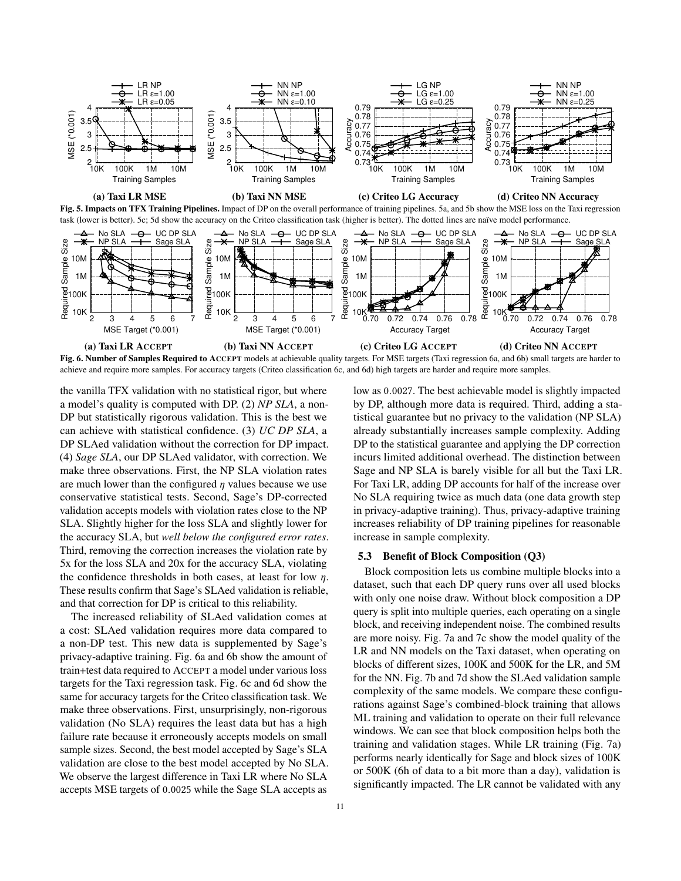<span id="page-10-0"></span>

<span id="page-10-1"></span>Fig. 6. Number of Samples Required to ACCEPT models at achievable quality targets. For MSE targets (Taxi regression [6a,](#page-10-1) and [6b\)](#page-10-1) small targets are harder to achieve and require more samples. For accuracy targets (Criteo classification [6c,](#page-10-1) and [6d\)](#page-10-1) high targets are harder and require more samples.

the vanilla TFX validation with no statistical rigor, but where a model's quality is computed with DP. (2) *NP SLA*, a non-DP but statistically rigorous validation. This is the best we can achieve with statistical confidence. (3) *UC DP SLA*, a DP SLAed validation without the correction for DP impact. (4) *Sage SLA*, our DP SLAed validator, with correction. We make three observations. First, the NP SLA violation rates are much lower than the configured  $\eta$  values because we use conservative statistical tests. Second, Sage's DP-corrected validation accepts models with violation rates close to the NP SLA. Slightly higher for the loss SLA and slightly lower for the accuracy SLA, but *well below the configured error rates*. Third, removing the correction increases the violation rate by 5x for the loss SLA and 20x for the accuracy SLA, violating the confidence thresholds in both cases, at least for low  $\eta$ . These results confirm that Sage's SLAed validation is reliable, and that correction for DP is critical to this reliability.

The increased reliability of SLAed validation comes at a cost: SLAed validation requires more data compared to a non-DP test. This new data is supplemented by Sage's privacy-adaptive training. Fig. [6a](#page-10-1) and [6b](#page-10-1) show the amount of train+test data required to ACCEPT a model under various loss targets for the Taxi regression task. Fig. [6c](#page-10-1) and [6d](#page-10-1) show the same for accuracy targets for the Criteo classification task. We make three observations. First, unsurprisingly, non-rigorous validation (No SLA) requires the least data but has a high failure rate because it erroneously accepts models on small sample sizes. Second, the best model accepted by Sage's SLA validation are close to the best model accepted by No SLA. We observe the largest difference in Taxi LR where No SLA accepts MSE targets of <sup>0</sup>.<sup>0025</sup> while the Sage SLA accepts as

low as <sup>0</sup>.0027. The best achievable model is slightly impacted by DP, although more data is required. Third, adding a statistical guarantee but no privacy to the validation (NP SLA) already substantially increases sample complexity. Adding DP to the statistical guarantee and applying the DP correction incurs limited additional overhead. The distinction between Sage and NP SLA is barely visible for all but the Taxi LR. For Taxi LR, adding DP accounts for half of the increase over No SLA requiring twice as much data (one data growth step in privacy-adaptive training). Thus, privacy-adaptive training increases reliability of DP training pipelines for reasonable increase in sample complexity.

## 5.3 Benefit of Block Composition (Q3)

Block composition lets us combine multiple blocks into a dataset, such that each DP query runs over all used blocks with only one noise draw. Without block composition a DP query is split into multiple queries, each operating on a single block, and receiving independent noise. The combined results are more noisy. Fig. [7a](#page-11-1) and [7c](#page-11-1) show the model quality of the LR and NN models on the Taxi dataset, when operating on blocks of different sizes, 100K and 500K for the LR, and 5M for the NN. Fig. [7b](#page-11-1) and [7d](#page-11-1) show the SLAed validation sample complexity of the same models. We compare these configurations against Sage's combined-block training that allows ML training and validation to operate on their full relevance windows. We can see that block composition helps both the training and validation stages. While LR training (Fig. [7a\)](#page-11-1) performs nearly identically for Sage and block sizes of 100K or 500K (6h of data to a bit more than a day), validation is significantly impacted. The LR cannot be validated with any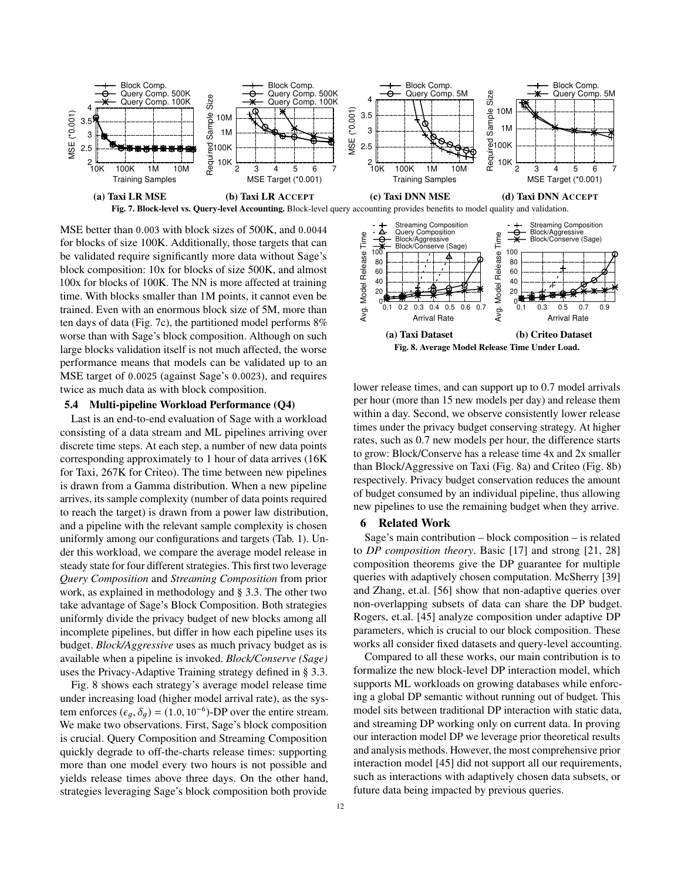<span id="page-11-1"></span>

MSE better than <sup>0</sup>.<sup>003</sup> with block sizes of 500K, and <sup>0</sup>.<sup>0044</sup> for blocks of size 100K. Additionally, those targets that can be validated require significantly more data without Sage's block composition: 10x for blocks of size 500K, and almost 100x for blocks of 100K. The NN is more affected at training time. With blocks smaller than 1M points, it cannot even be trained. Even with an enormous block size of 5M, more than ten days of data (Fig. [7c\)](#page-11-1), the partitioned model performs 8% worse than with Sage's block composition. Although on such large blocks validation itself is not much affected, the worse performance means that models can be validated up to an MSE target of <sup>0</sup>.<sup>0025</sup> (against Sage's <sup>0</sup>.0023), and requires twice as much data as with block composition.

## <span id="page-11-0"></span>5.4 Multi-pipeline Workload Performance (Q4)

Last is an end-to-end evaluation of Sage with a workload consisting of a data stream and ML pipelines arriving over discrete time steps. At each step, a number of new data points corresponding approximately to 1 hour of data arrives (16K for Taxi, 267K for Criteo). The time between new pipelines is drawn from a Gamma distribution. When a new pipeline arrives, its sample complexity (number of data points required to reach the target) is drawn from a power law distribution, and a pipeline with the relevant sample complexity is chosen uniformly among our configurations and targets (Tab. [1\)](#page-9-0). Under this workload, we compare the average model release in steady state for four different strategies. This first two leverage *Query Composition* and *Streaming Composition* from prior work, as explained in methodology and § [3.3.](#page-5-0) The other two take advantage of Sage's Block Composition. Both strategies uniformly divide the privacy budget of new blocks among all incomplete pipelines, but differ in how each pipeline uses its budget. *Block/Aggressive* uses as much privacy budget as is available when a pipeline is invoked. *Block/Conserve (Sage)* uses the Privacy-Adaptive Training strategy defined in § [3.3.](#page-5-0)

Fig. [8](#page-11-2) shows each strategy's average model release time under increasing load (higher model arrival rate), as the system enforces ( $\epsilon_g$ ,  $\delta_g$ ) = (1.0, 10<sup>-6</sup>)-DP over the entire stream.<br>We make two observations. First, Sage's block composition We make two observations. First, Sage's block composition is crucial. Query Composition and Streaming Composition quickly degrade to off-the-charts release times: supporting more than one model every two hours is not possible and yields release times above three days. On the other hand, strategies leveraging Sage's block composition both provide

<span id="page-11-2"></span>

lower release times, and can support up to 0.7 model arrivals per hour (more than 15 new models per day) and release them within a day. Second, we observe consistently lower release times under the privacy budget conserving strategy. At higher rates, such as 0.7 new models per hour, the difference starts to grow: Block/Conserve has a release time 4x and 2x smaller than Block/Aggressive on Taxi (Fig. [8a\)](#page-11-2) and Criteo (Fig. [8b\)](#page-11-2) respectively. Privacy budget conservation reduces the amount of budget consumed by an individual pipeline, thus allowing new pipelines to use the remaining budget when they arrive.

#### 6 Related Work

Sage's main contribution – block composition – is related to *DP composition theory*. Basic [\[17\]](#page-13-30) and strong [\[21,](#page-13-31) [28\]](#page-13-32) composition theorems give the DP guarantee for multiple queries with adaptively chosen computation. McSherry [\[39\]](#page-13-15) and Zhang, et.al. [\[56\]](#page-14-10) show that non-adaptive queries over non-overlapping subsets of data can share the DP budget. Rogers, et.al. [\[45\]](#page-13-9) analyze composition under adaptive DP parameters, which is crucial to our block composition. These works all consider fixed datasets and query-level accounting.

Compared to all these works, our main contribution is to formalize the new block-level DP interaction model, which supports ML workloads on growing databases while enforcing a global DP semantic without running out of budget. This model sits between traditional DP interaction with static data, and streaming DP working only on current data. In proving our interaction model DP we leverage prior theoretical results and analysis methods. However, the most comprehensive prior interaction model [\[45\]](#page-13-9) did not support all our requirements, such as interactions with adaptively chosen data subsets, or future data being impacted by previous queries.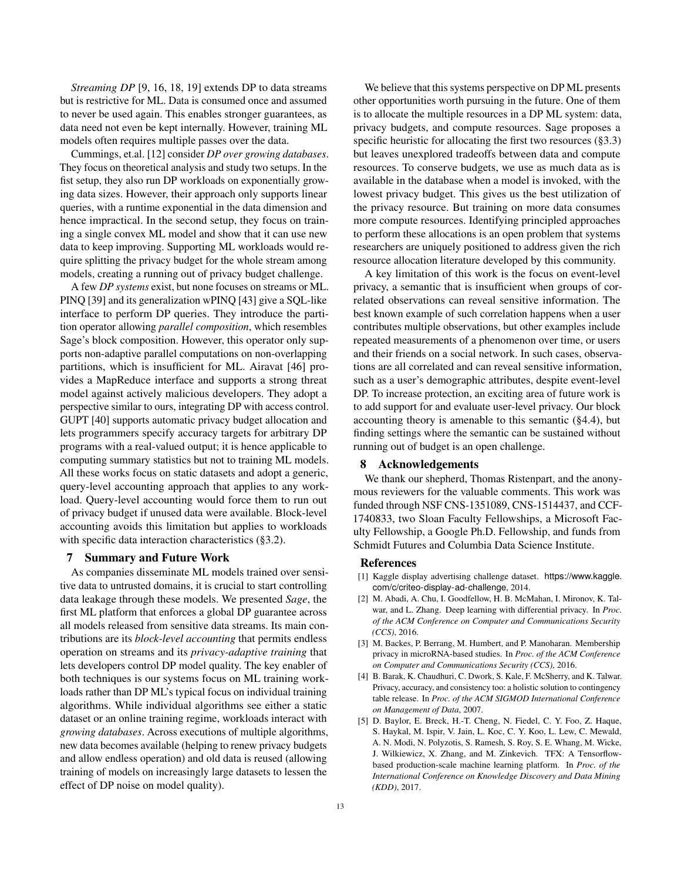*Streaming DP* [\[9,](#page-13-34) [16,](#page-13-35) [18,](#page-13-36) [19\]](#page-13-24) extends DP to data streams but is restrictive for ML. Data is consumed once and assumed to never be used again. This enables stronger guarantees, as data need not even be kept internally. However, training ML models often requires multiple passes over the data.

Cummings, et.al. [\[12\]](#page-13-8) consider *DP over growing databases*. They focus on theoretical analysis and study two setups. In the fist setup, they also run DP workloads on exponentially growing data sizes. However, their approach only supports linear queries, with a runtime exponential in the data dimension and hence impractical. In the second setup, they focus on training a single convex ML model and show that it can use new data to keep improving. Supporting ML workloads would require splitting the privacy budget for the whole stream among models, creating a running out of privacy budget challenge.

A few *DP systems* exist, but none focuses on streams or ML. PINQ [\[39\]](#page-13-15) and its generalization wPINQ [\[43\]](#page-13-37) give a SQL-like interface to perform DP queries. They introduce the partition operator allowing *parallel composition*, which resembles Sage's block composition. However, this operator only supports non-adaptive parallel computations on non-overlapping partitions, which is insufficient for ML. Airavat [\[46\]](#page-13-38) provides a MapReduce interface and supports a strong threat model against actively malicious developers. They adopt a perspective similar to ours, integrating DP with access control. GUPT [\[40\]](#page-13-39) supports automatic privacy budget allocation and lets programmers specify accuracy targets for arbitrary DP programs with a real-valued output; it is hence applicable to computing summary statistics but not to training ML models. All these works focus on static datasets and adopt a generic, query-level accounting approach that applies to any workload. Query-level accounting would force them to run out of privacy budget if unused data were available. Block-level accounting avoids this limitation but applies to workloads with specific data interaction characteristics ([§3.2\)](#page-4-0).

## <span id="page-12-4"></span>7 Summary and Future Work

As companies disseminate ML models trained over sensitive data to untrusted domains, it is crucial to start controlling data leakage through these models. We presented *Sage*, the first ML platform that enforces a global DP guarantee across all models released from sensitive data streams. Its main contributions are its *block-level accounting* that permits endless operation on streams and its *privacy-adaptive training* that lets developers control DP model quality. The key enabler of both techniques is our systems focus on ML training workloads rather than DP ML's typical focus on individual training algorithms. While individual algorithms see either a static dataset or an online training regime, workloads interact with *growing databases*. Across executions of multiple algorithms, new data becomes available (helping to renew privacy budgets and allow endless operation) and old data is reused (allowing training of models on increasingly large datasets to lessen the effect of DP noise on model quality).

We believe that this systems perspective on DP ML presents other opportunities worth pursuing in the future. One of them is to allocate the multiple resources in a DP ML system: data, privacy budgets, and compute resources. Sage proposes a specific heuristic for allocating the first two resources ([§3.3\)](#page-5-0) but leaves unexplored tradeoffs between data and compute resources. To conserve budgets, we use as much data as is available in the database when a model is invoked, with the lowest privacy budget. This gives us the best utilization of the privacy resource. But training on more data consumes more compute resources. Identifying principled approaches to perform these allocations is an open problem that systems researchers are uniquely positioned to address given the rich resource allocation literature developed by this community.

A key limitation of this work is the focus on event-level privacy, a semantic that is insufficient when groups of correlated observations can reveal sensitive information. The best known example of such correlation happens when a user contributes multiple observations, but other examples include repeated measurements of a phenomenon over time, or users and their friends on a social network. In such cases, observations are all correlated and can reveal sensitive information, such as a user's demographic attributes, despite event-level DP. To increase protection, an exciting area of future work is to add support for and evaluate user-level privacy. Our block accounting theory is amenable to this semantic ([§4.4\)](#page-8-0), but finding settings where the semantic can be sustained without running out of budget is an open challenge.

## 8 Acknowledgements

We thank our shepherd, Thomas Ristenpart, and the anonymous reviewers for the valuable comments. This work was funded through NSF CNS-1351089, CNS-1514437, and CCF-1740833, two Sloan Faculty Fellowships, a Microsoft Faculty Fellowship, a Google Ph.D. Fellowship, and funds from Schmidt Futures and Columbia Data Science Institute.

## References

- <span id="page-12-5"></span>[1] Kaggle display advertising challenge dataset. [https://www.kaggle.](https://www.kaggle.com/c/criteo-display-ad-challenge) [com/c/criteo-display-ad-challenge](https://www.kaggle.com/c/criteo-display-ad-challenge), 2014.
- <span id="page-12-1"></span>[2] M. Abadi, A. Chu, I. Goodfellow, H. B. McMahan, I. Mironov, K. Talwar, and L. Zhang. Deep learning with differential privacy. In *Proc. of the ACM Conference on Computer and Communications Security (CCS)*, 2016.
- <span id="page-12-2"></span>[3] M. Backes, P. Berrang, M. Humbert, and P. Manoharan. Membership privacy in microRNA-based studies. In *Proc. of the ACM Conference on Computer and Communications Security (CCS)*, 2016.
- <span id="page-12-3"></span>[4] B. Barak, K. Chaudhuri, C. Dwork, S. Kale, F. McSherry, and K. Talwar. Privacy, accuracy, and consistency too: a holistic solution to contingency table release. In *Proc. of the ACM SIGMOD International Conference on Management of Data*, 2007.
- <span id="page-12-0"></span>[5] D. Baylor, E. Breck, H.-T. Cheng, N. Fiedel, C. Y. Foo, Z. Haque, S. Haykal, M. Ispir, V. Jain, L. Koc, C. Y. Koo, L. Lew, C. Mewald, A. N. Modi, N. Polyzotis, S. Ramesh, S. Roy, S. E. Whang, M. Wicke, J. Wilkiewicz, X. Zhang, and M. Zinkevich. TFX: A Tensorflowbased production-scale machine learning platform. In *Proc. of the International Conference on Knowledge Discovery and Data Mining (KDD)*, 2017.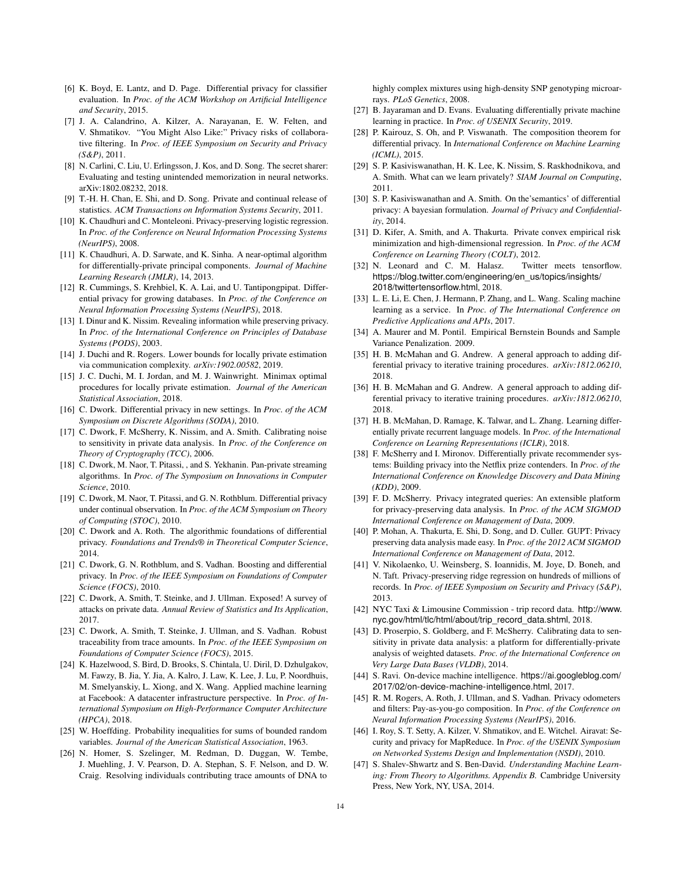- <span id="page-13-22"></span>[6] K. Boyd, E. Lantz, and D. Page. Differential privacy for classifier evaluation. In *Proc. of the ACM Workshop on Artificial Intelligence and Security*, 2015.
- <span id="page-13-4"></span>[7] J. A. Calandrino, A. Kilzer, A. Narayanan, E. W. Felten, and V. Shmatikov. "You Might Also Like:" Privacy risks of collaborative filtering. In *Proc. of IEEE Symposium on Security and Privacy (S&P)*, 2011.
- <span id="page-13-0"></span>[8] N. Carlini, C. Liu, U. Erlingsson, J. Kos, and D. Song. The secret sharer: Evaluating and testing unintended memorization in neural networks. arXiv:1802.08232, 2018.
- <span id="page-13-34"></span>[9] T.-H. H. Chan, E. Shi, and D. Song. Private and continual release of statistics. *ACM Transactions on Information Systems Security*, 2011.
- <span id="page-13-17"></span>[10] K. Chaudhuri and C. Monteleoni. Privacy-preserving logistic regression. In *Proc. of the Conference on Neural Information Processing Systems (NeurIPS)*, 2008.
- <span id="page-13-21"></span>[11] K. Chaudhuri, A. D. Sarwate, and K. Sinha. A near-optimal algorithm for differentially-private principal components. *Journal of Machine Learning Research (JMLR)*, 14, 2013.
- <span id="page-13-8"></span>[12] R. Cummings, S. Krehbiel, K. A. Lai, and U. Tantipongpipat. Differential privacy for growing databases. In *Proc. of the Conference on Neural Information Processing Systems (NeurIPS)*, 2018.
- <span id="page-13-5"></span>[13] I. Dinur and K. Nissim. Revealing information while preserving privacy. In *Proc. of the International Conference on Principles of Database Systems (PODS)*, 2003.
- <span id="page-13-25"></span>[14] J. Duchi and R. Rogers. Lower bounds for locally private estimation via communication complexity. *arXiv:1902.00582*, 2019.
- <span id="page-13-26"></span>[15] J. C. Duchi, M. I. Jordan, and M. J. Wainwright. Minimax optimal procedures for locally private estimation. *Journal of the American Statistical Association*, 2018.
- <span id="page-13-35"></span>[16] C. Dwork. Differential privacy in new settings. In *Proc. of the ACM Symposium on Discrete Algorithms (SODA)*, 2010.
- <span id="page-13-30"></span>[17] C. Dwork, F. McSherry, K. Nissim, and A. Smith. Calibrating noise to sensitivity in private data analysis. In *Proc. of the Conference on Theory of Cryptography (TCC)*, 2006.
- <span id="page-13-36"></span>[18] C. Dwork, M. Naor, T. Pitassi, , and S. Yekhanin. Pan-private streaming algorithms. In *Proc. of The Symposium on Innovations in Computer Science*, 2010.
- <span id="page-13-24"></span>[19] C. Dwork, M. Naor, T. Pitassi, and G. N. Rothblum. Differential privacy under continual observation. In *Proc. of the ACM Symposium on Theory of Computing (STOC)*, 2010.
- <span id="page-13-14"></span>[20] C. Dwork and A. Roth. The algorithmic foundations of differential privacy. *Foundations and Trends® in Theoretical Computer Science*, 2014.
- <span id="page-13-31"></span>[21] C. Dwork, G. N. Rothblum, and S. Vadhan. Boosting and differential privacy. In *Proc. of the IEEE Symposium on Foundations of Computer Science (FOCS)*, 2010.
- <span id="page-13-11"></span>[22] C. Dwork, A. Smith, T. Steinke, and J. Ullman. Exposed! A survey of attacks on private data. *Annual Review of Statistics and Its Application*, 2017.
- <span id="page-13-12"></span>[23] C. Dwork, A. Smith, T. Steinke, J. Ullman, and S. Vadhan. Robust traceability from trace amounts. In *Proc. of the IEEE Symposium on Foundations of Computer Science (FOCS)*, 2015.
- <span id="page-13-1"></span>[24] K. Hazelwood, S. Bird, D. Brooks, S. Chintala, U. Diril, D. Dzhulgakov, M. Fawzy, B. Jia, Y. Jia, A. Kalro, J. Law, K. Lee, J. Lu, P. Noordhuis, M. Smelyanskiy, L. Xiong, and X. Wang. Applied machine learning at Facebook: A datacenter infrastructure perspective. In *Proc. of International Symposium on High-Performance Computer Architecture (HPCA)*, 2018.
- <span id="page-13-41"></span>[25] W. Hoeffding. Probability inequalities for sums of bounded random variables. *Journal of the American Statistical Association*, 1963.
- <span id="page-13-13"></span>[26] N. Homer, S. Szelinger, M. Redman, D. Duggan, W. Tembe, J. Muehling, J. V. Pearson, D. A. Stephan, S. F. Nelson, and D. W. Craig. Resolving individuals contributing trace amounts of DNA to

highly complex mixtures using high-density SNP genotyping microarrays. *PLoS Genetics*, 2008.

- <span id="page-13-16"></span>[27] B. Jayaraman and D. Evans. Evaluating differentially private machine learning in practice. In *Proc. of USENIX Security*, 2019.
- <span id="page-13-32"></span>[28] P. Kairouz, S. Oh, and P. Viswanath. The composition theorem for differential privacy. In *International Conference on Machine Learning (ICML)*, 2015.
- <span id="page-13-28"></span>[29] S. P. Kasiviswanathan, H. K. Lee, K. Nissim, S. Raskhodnikova, and A. Smith. What can we learn privately? *SIAM Journal on Computing*, 2011.
- <span id="page-13-29"></span>[30] S. P. Kasiviswanathan and A. Smith. On the'semantics' of differential privacy: A bayesian formulation. *Journal of Privacy and Confidentiality*, 2014.
- <span id="page-13-18"></span>[31] D. Kifer, A. Smith, and A. Thakurta. Private convex empirical risk minimization and high-dimensional regression. In *Proc. of the ACM Conference on Learning Theory (COLT)*, 2012.
- <span id="page-13-10"></span>[32] N. Leonard and C. M. Halasz. Twitter meets tensorflow. [https://blog.twitter.com/engineering/en\\_us/topics/insights/](https://blog.twitter.com/engineering/en_us/topics/insights/2018/twittertensorflow.html) [2018/twittertensorflow.html](https://blog.twitter.com/engineering/en_us/topics/insights/2018/twittertensorflow.html), 2018.
- <span id="page-13-2"></span>[33] L. E. Li, E. Chen, J. Hermann, P. Zhang, and L. Wang. Scaling machine learning as a service. In *Proc. of The International Conference on Predictive Applications and APIs*, 2017.
- <span id="page-13-40"></span>[34] A. Maurer and M. Pontil. Empirical Bernstein Bounds and Sample Variance Penalization. 2009.
- <span id="page-13-6"></span>[35] H. B. McMahan and G. Andrew. A general approach to adding differential privacy to iterative training procedures. *arXiv:1812.06210*, 2018.
- <span id="page-13-33"></span>[36] H. B. McMahan and G. Andrew. A general approach to adding differential privacy to iterative training procedures. *arXiv:1812.06210*, 2018.
- <span id="page-13-20"></span>[37] H. B. McMahan, D. Ramage, K. Talwar, and L. Zhang. Learning differentially private recurrent language models. In *Proc. of the International Conference on Learning Representations (ICLR)*, 2018.
- <span id="page-13-7"></span>[38] F. McSherry and I. Mironov. Differentially private recommender systems: Building privacy into the Netflix prize contenders. In *Proc. of the International Conference on Knowledge Discovery and Data Mining (KDD)*, 2009.
- <span id="page-13-15"></span>[39] F. D. McSherry. Privacy integrated queries: An extensible platform for privacy-preserving data analysis. In *Proc. of the ACM SIGMOD International Conference on Management of Data*, 2009.
- <span id="page-13-39"></span>[40] P. Mohan, A. Thakurta, E. Shi, D. Song, and D. Culler. GUPT: Privacy preserving data analysis made easy. In *Proc. of the 2012 ACM SIGMOD International Conference on Management of Data*, 2012.
- <span id="page-13-19"></span>[41] V. Nikolaenko, U. Weinsberg, S. Ioannidis, M. Joye, D. Boneh, and N. Taft. Privacy-preserving ridge regression on hundreds of millions of records. In *Proc. of IEEE Symposium on Security and Privacy (S&P)*, 2013.
- <span id="page-13-23"></span>[42] NYC Taxi & Limousine Commission - trip record data. [http://www.](http://www.nyc.gov/html/tlc/html/about/trip_record_data.shtml) [nyc.gov/html/tlc/html/about/trip\\_record\\_data.shtml](http://www.nyc.gov/html/tlc/html/about/trip_record_data.shtml), 2018.
- <span id="page-13-37"></span>[43] D. Proserpio, S. Goldberg, and F. McSherry. Calibrating data to sensitivity in private data analysis: a platform for differentially-private analysis of weighted datasets. *Proc. of the International Conference on Very Large Data Bases (VLDB)*, 2014.
- <span id="page-13-3"></span>[44] S. Ravi. On-device machine intelligence. [https://ai.googleblog.com/](https://ai.googleblog.com/2017/02/on-device-machine-intelligence.html) [2017/02/on-device-machine-intelligence.html](https://ai.googleblog.com/2017/02/on-device-machine-intelligence.html), 2017.
- <span id="page-13-9"></span>[45] R. M. Rogers, A. Roth, J. Ullman, and S. Vadhan. Privacy odometers and filters: Pay-as-you-go composition. In *Proc. of the Conference on Neural Information Processing Systems (NeurIPS)*, 2016.
- <span id="page-13-38"></span>[46] I. Roy, S. T. Setty, A. Kilzer, V. Shmatikov, and E. Witchel. Airavat: Security and privacy for MapReduce. In *Proc. of the USENIX Symposium on Networked Systems Design and Implementation (NSDI)*, 2010.
- <span id="page-13-27"></span>[47] S. Shalev-Shwartz and S. Ben-David. *Understanding Machine Learning: From Theory to Algorithms. Appendix B.* Cambridge University Press, New York, NY, USA, 2014.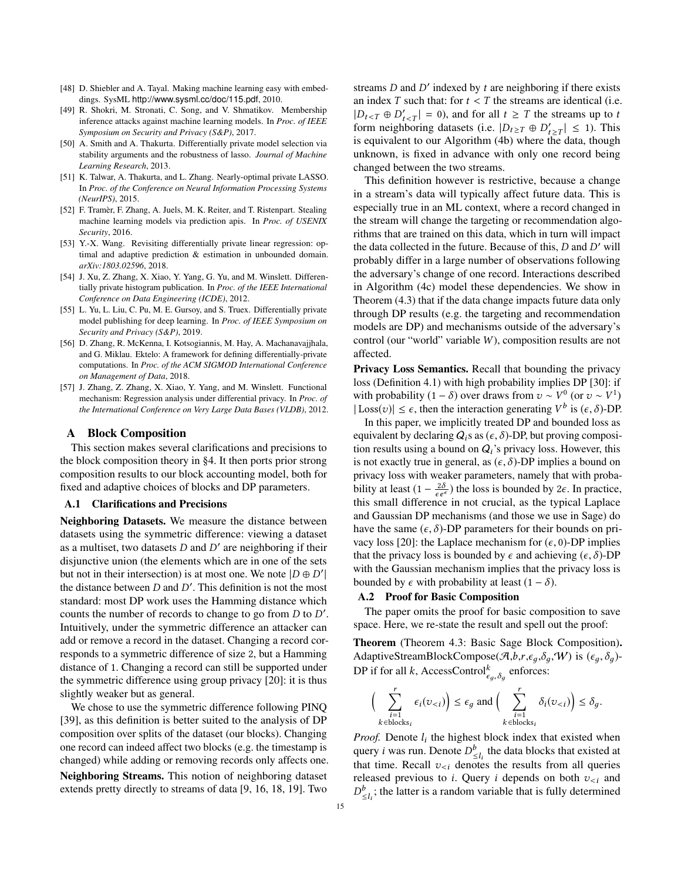- <span id="page-14-0"></span>[48] D. Shiebler and A. Tayal. Making machine learning easy with embeddings. SysML <http://www.sysml.cc/doc/115.pdf>, 2010.
- <span id="page-14-1"></span>[49] R. Shokri, M. Stronati, C. Song, and V. Shmatikov. Membership inference attacks against machine learning models. In *Proc. of IEEE Symposium on Security and Privacy (S&P)*, 2017.
- <span id="page-14-6"></span>[50] A. Smith and A. Thakurta. Differentially private model selection via stability arguments and the robustness of lasso. *Journal of Machine Learning Research*, 2013.
- <span id="page-14-4"></span>[51] K. Talwar, A. Thakurta, and L. Zhang. Nearly-optimal private LASSO. In *Proc. of the Conference on Neural Information Processing Systems (NeurIPS)*, 2015.
- <span id="page-14-2"></span>[52] F. Tramèr, F. Zhang, A. Juels, M. K. Reiter, and T. Ristenpart. Stealing machine learning models via prediction apis. In *Proc. of USENIX Security*, 2016.
- <span id="page-14-9"></span>[53] Y.-X. Wang. Revisiting differentially private linear regression: optimal and adaptive prediction & estimation in unbounded domain. *arXiv:1803.02596*, 2018.
- <span id="page-14-7"></span>[54] J. Xu, Z. Zhang, X. Xiao, Y. Yang, G. Yu, and M. Winslett. Differentially private histogram publication. In *Proc. of the IEEE International Conference on Data Engineering (ICDE)*, 2012.
- <span id="page-14-3"></span>[55] L. Yu, L. Liu, C. Pu, M. E. Gursoy, and S. Truex. Differentially private model publishing for deep learning. In *Proc. of IEEE Symposium on Security and Privacy (S&P)*, 2019.
- <span id="page-14-10"></span>[56] D. Zhang, R. McKenna, I. Kotsogiannis, M. Hay, A. Machanavajjhala, and G. Miklau. Ektelo: A framework for defining differentially-private computations. In *Proc. of the ACM SIGMOD International Conference on Management of Data*, 2018.
- <span id="page-14-5"></span>[57] J. Zhang, Z. Zhang, X. Xiao, Y. Yang, and M. Winslett. Functional mechanism: Regression analysis under differential privacy. In *Proc. of the International Conference on Very Large Data Bases (VLDB)*, 2012.

## A Block Composition

This section makes several clarifications and precisions to the block composition theory in [§4.](#page-6-0) It then ports prior strong composition results to our block accounting model, both for fixed and adaptive choices of blocks and DP parameters.

#### A.1 Clarifications and Precisions

Neighboring Datasets. We measure the distance between datasets using the symmetric difference: viewing a dataset as a multiset, two datasets  $D$  and  $D'$  are neighboring if their disjunctive union (the elements which are in one of the sets but not in their intersection) is at most one. We note  $|D \oplus D'|$ the distance between  $D$  and  $D'$ . This definition is not the most standard: most DP work uses the Hamming distance which counts the number of records to change to go from  $D$  to  $D'$ . Intuitively, under the symmetric difference an attacker can add or remove a record in the dataset. Changing a record corresponds to a symmetric difference of size 2, but a Hamming distance of 1. Changing a record can still be supported under the symmetric difference using group privacy [\[20\]](#page-13-14): it is thus slightly weaker but as general.

We chose to use the symmetric difference following PINQ [\[39\]](#page-13-15), as this definition is better suited to the analysis of DP composition over splits of the dataset (our blocks). Changing one record can indeed affect two blocks (e.g. the timestamp is changed) while adding or removing records only affects one. Neighboring Streams. This notion of neighboring dataset extends pretty directly to streams of data [\[9,](#page-13-34) [16,](#page-13-35) [18,](#page-13-36) [19\]](#page-13-24). Two

streams  $D$  and  $D'$  indexed by  $t$  are neighboring if there exists an index T such that: for  $t < T$  the streams are identical (i.e.  $|D_{t, and for all  $t \geq T$  the streams up to the stream noise the stream detects  $(i, s, |D_{t-1} \cap D'_{t-1})$ .$ form neighboring datasets (i.e.  $|D_{t\geq T} \oplus D'_{t\geq T}| \leq 1$ ). This is equivalent to our Algorithm [\(4b\)](#page-7-0) where the data, though unknown, is fixed in advance with only one record being changed between the two streams.

This definition however is restrictive, because a change in a stream's data will typically affect future data. This is especially true in an ML context, where a record changed in the stream will change the targeting or recommendation algorithms that are trained on this data, which in turn will impact the data collected in the future. Because of this,  $D$  and  $D'$  will probably differ in a large number of observations following the adversary's change of one record. Interactions described in Algorithm [\(4c\)](#page-7-0) model these dependencies. We show in Theorem [\(4.3\)](#page-8-1) that if the data change impacts future data only through DP results (e.g. the targeting and recommendation models are DP) and mechanisms outside of the adversary's control (our "world" variable W), composition results are not affected.

Privacy Loss Semantics. Recall that bounding the privacy loss (Definition [4.1\)](#page-7-2) with high probability implies DP [\[30\]](#page-13-29): if with probability  $(1 - \delta)$  over draws from  $v \sim V^0$  (or  $v \sim V^1$ )  $|\text{Loss}(v)| \le \epsilon$ , then the interaction generating  $V^b$  is  $(\epsilon, \delta)$ -DP.<br>In this paper, we implicitly treated DP and bounded loss as

In this paper, we implicitly treated DP and bounded loss as equivalent by declaring  $Q_i$ s as  $(\epsilon, \delta)$ -DP, but proving composition results using a bound on  $Q_i$ 's privacy loss. However, this is not exactly true in general, as  $(\epsilon, \delta)$ -DP implies a bound on privacy loss with weaker parameters, namely that with probability at least  $(1 - \frac{2\delta}{\epsilon e^{\epsilon}})$  the loss is bounded by  $2\epsilon$ . In practice, this small difference in not crucial, as the typical Laplace and Gaussian DP mechanisms (and those we use in Sage) do have the same  $(\epsilon, \delta)$ -DP parameters for their bounds on pri-vacy loss [\[20\]](#page-13-14): the Laplace mechanism for  $(\epsilon, 0)$ -DP implies that the privacy loss is bounded by  $\epsilon$  and achieving  $(\epsilon, \delta)$ -DP with the Gaussian mechanism implies that the privacy loss is bounded by  $\epsilon$  with probability at least  $(1 - \delta)$ .

## <span id="page-14-8"></span>A.2 Proof for Basic Composition

The paper omits the proof for basic composition to save space. Here, we re-state the result and spell out the proof:

Theorem (Theorem [4.3:](#page-8-1) Basic Sage Block Composition). AdaptiveStreamBlockCompose( $\mathcal{A}, b, r, \epsilon_q, \delta_q, W$ ) is  $(\epsilon_q, \delta_q)$ -DP if for all k, AccessControl $_{\epsilon_g, \delta_g}^k$  enforces:

$$
\Big(\sum_{\substack{i=1\\k \in \text{blocks}_i}}^r \epsilon_i(v_{< i})\Big) \le \epsilon_g \text{ and } \Big(\sum_{\substack{i=1\\k \in \text{blocks}_i}}^r \delta_i(v_{< i})\Big) \le \delta_g.
$$

*Proof.* Denote  $l_i$  the highest block index that existed when query *i* was run. Denote  $D_{\leq l_i}^b$  the data blocks that existed at that time. Becall z<sub>1</sub>, denotes the results from all queries that time. Recall  $v_{\leq i}$  denotes the results from all queries released previous to *i*. Query *i* depends on both  $v_{\le i}$  and  $D_{\leq l_i}^b$ ; the latter is a random variable that is fully determined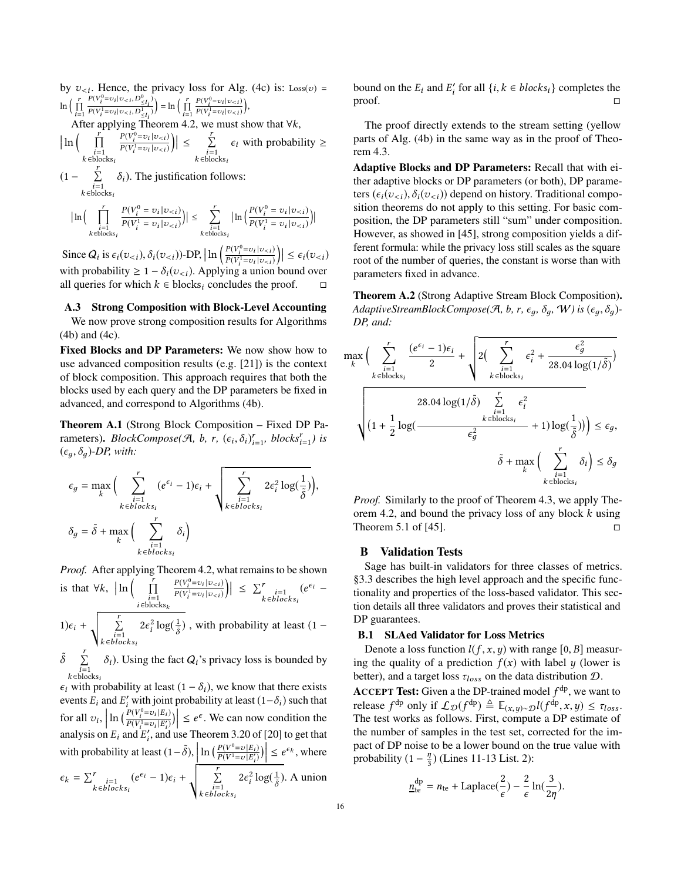by  $v_{\leq i}$ . Hence, the privacy loss for Alg. [\(4c\)](#page-7-0) is: Loss(v) =  $\ln \left( \frac{r}{\prod} \right)$  $i=1$ <br>A  $\Omega$  $\frac{P(V_i^0)}{P(V_i^0)}$  $\frac{v_0^0 = v_i | v_{< i}, D^0_{\leq l_i}}{v_1^1 = v_1 | v_1 + D^1}$  $\frac{P(V_i = v_i | v_{\le i}, D_{\le l_i}^1)}{P(V_i^1 = v_i | v_{\le i}, D_{\le l_i}^1)} = \ln \left( \prod_{i=1}^r \right)$ After applying Theorem [4.2,](#page-7-1) we must show that  $\forall k$ ,  $i=1$ <br> $\overline{1}$  $\frac{P(V_i^0)}{P(i-1)}$  $\frac{v_i^0 = v_i |v_{&i}}{v_{i}^1 = v_i |v_{&i}}$  $\frac{P(V_i^0 = v_i | v_{< i})}{P(V_i^1 = v_i | v_{< i})},$  $\ln\left(\prod_{\substack{i=1 \ k \in \text{blocks}_i}}^{r^*} \right)$  $P(V_i^0)$  $\frac{P(V_i^0 = v_i | v_{&i})}{P(V_i^1 = v_i | v_{&i})}$  $\sum_{i=1}^{i} = v_i |v_{&i})$  $\left|\int\right| \leq \sum_{\substack{i=1 \ k \in \text{blocks}_i}}^r$  $\epsilon_i$  with probability ≥ (1 −  $\sum_{i=1}^{r} \delta_i$ ). The justification follows:  $k \in \text{blocks}_i$  $\ln \left( \begin{array}{c} \end{array} \right)$  $i=1$ <br>k∈blocks<sub>i</sub>  $P(V_i^0)$  $\frac{P(V_i^0 = v_i | v_{&i})}{P(V_i^1 = v_i | v_{&i})}$  $v_i^1 = v_i |v_{&i})$  $\Big|\Big| \leq \sum$  $i=1$ <br>k∈blocks<sub>i</sub>  $\ln\left(\frac{P(V_i^0)}{P(V^1)}\right)$  $\frac{P(V_i^0 = v_i | v_{&i})}{P(V_i^1 = v_i | v_{&i})}$  $v_i^1 = v_i |v_{&i})$ )|

Since  $Q_i$  is  $\epsilon_i(v_{\lt i}), \delta_i(v_{\lt i})$ )-DP,  $\ln \left( \frac{P(V_i^0)}{P(V_i^1)} \right)$  $\frac{P(V_i^0 = v_i | v_{&i})}{P(V_i^1 = v_i | v_{&i})}$  $\sum_{i=1}^{i} |v_{i}|$  $\left|\left|\leq\epsilon_{i}(v_{< i})\right|\right|$ with probability  $\geq 1 - \delta_i(v_{\leq i})$ . Applying a union bound over<br>all queries for which  $k \in \mathbb{N}$  policy concludes the proof all queries for which  $k \in \text{blocks}_i$  concludes the proof.  $\Box$ 

#### <span id="page-15-2"></span>A.3 Strong Composition with Block-Level Accounting

We now prove strong composition results for Algorithms [\(4b\)](#page-7-0) and [\(4c\)](#page-7-0).

Fixed Blocks and DP Parameters: We now show how to use advanced composition results (e.g. [\[21\]](#page-13-31)) is the context of block composition. This approach requires that both the blocks used by each query and the DP parameters be fixed in advanced, and correspond to Algorithms [\(4b\)](#page-7-0).

Theorem A.1 (Strong Block Composition – Fixed DP Parameters). *BlockCompose*( $\mathcal{A}$ ,  $b$ ,  $r$ ,  $(\epsilon_i, \delta_i)_{i=1}^r$ , blocks<sup>r</sup><sub>i=1</sub>) is  $(\epsilon_q, \delta_q)$ -DP, with:

$$
\epsilon_g = \max_{k} \Big( \sum_{\substack{i=1 \ k \in blocks_i}}^r (e^{\epsilon_i} - 1)\epsilon_i + \sqrt{\sum_{\substack{i=1 \ k \in blocks_i}}^r 2\epsilon_i^2 \log(\frac{1}{\tilde{\delta}})}\Big),\newline \delta_g = \tilde{\delta} + \max_{k} \Big( \sum_{\substack{i=1 \ k \in blocks_i}}^r \delta_i \Big)
$$

*Proof.* After applying Theorem [4.2,](#page-7-1) what remains to be shown is that  $\forall k, \ \left| \ln \left( \prod_{\substack{i=1 \ i \in \text{blocks}_k}}^{r} \right) \right|$  $P(V_i^0)$  $\frac{P(V_i^0 = v_i | v_{$  $\sum_{i=1}^{r} |v_i| v_{< i}$  $\Big\| \leq \sum_{\substack{i=1 \ k \in blocks_i}}^r$  $(e^{\epsilon_i} 1)\epsilon_i + \sqrt{\sum_{\substack{i=1 \ k \in blocks_i}}^{r}}$  $2\epsilon_i^2 \log(\frac{1}{\delta})$ , with probability at least (1 –

 $\tilde{\delta} \sum_{\substack{i=1 \ k \in \text{blocks}_i}}^{r}$  $\delta_i$ ). Using the fact  $Q_i$ 's privacy loss is bounded by

 $\epsilon_i$  with probability at least  $(1 - \delta_i)$ , we know that there exists events  $E_i$  and  $E'_i$  with joint probability at least  $(1 - \delta_i)$  such that for all  $v_i$ ,  $\ln \left( \frac{P(V_i^0)}{P(V_i^1)} \right)$  $\frac{P(V_i^0 = v_i | E_i)}{P(V_i^1 = v_i | E'_i)}$  $\frac{V_i^1}{V_i} = v_i |E'_i|$  $\left|\frac{i}{i}\right\rangle$ )  $\leq e^{\epsilon}$ . We can now condition the analysis on  $E_i$  and  $E'_i$ , and use Theorem 3.20 of [\[20\]](#page-13-14) to get that with probability at least  $(1 - \tilde{\delta})$ ,  $\left| \ln \left( \frac{P(V^0 = v | E_i)}{P(V^1 = v | E'_i)} \right) \right|$  $\left| \frac{i}{i} \right| \leq e^{\epsilon_k}$ , where  $\epsilon_k = \sum_{\substack{i=1 \ k \in blocks_i}}^r$  $(e^{\epsilon_i} - 1)\epsilon_i + \sqrt{\sum_{\substack{i=1 \ k \in blocks_i}}^r}$  $2\epsilon_i^2 \log(\frac{1}{\tilde{\delta}})$ . A union bound on the  $E_i$  and  $E'_i$  for all  $\{i, k \in blocks_i\}$  completes the proof.  $\Box$ 

The proof directly extends to the stream setting (yellow parts of Alg. [\(4b\)](#page-7-0) in the same way as in the proof of Theorem [4.3.](#page-8-1)

Adaptive Blocks and DP Parameters: Recall that with either adaptive blocks or DP parameters (or both), DP parameters  $(\epsilon_i(v_{\leq i}), \delta_i(v_{\leq i}))$  depend on history. Traditional composition theorems do not apply to this setting. For basic composition, the DP parameters still "sum" under composition. However, as showed in [\[45\]](#page-13-9), strong composition yields a different formula: while the privacy loss still scales as the square root of the number of queries, the constant is worse than with parameters fixed in advance.

Theorem A.2 (Strong Adaptive Stream Block Composition). *AdaptiveStreamBlockCompose(A, b, r,*  $\epsilon_q$ *,*  $\delta_q$ *, W) is*  $(\epsilon_q, \delta_q)$ *-DP, and:*

$$
\max_{k} \Big( \sum_{\substack{i=1 \ i \in \text{blocks}_i}}^r \frac{(e^{\epsilon_i} - 1)\epsilon_i}{2} + \sqrt{2\Big(\sum_{\substack{i=1 \ k \in \text{blocks}_i}}^r \epsilon_i^2 + \frac{\epsilon_g^2}{28.04 \log(1/\tilde{\delta})}\Big)}{\sum_{\substack{i=1 \ k \in \text{blocks}_i}}^r \epsilon_i^2}
$$
\n
$$
\sqrt{\Big(1 + \frac{1}{2}\log\Big(\frac{k \epsilon}{\epsilon_g^2}\Big) + 1\Big)\log\Big(\frac{1}{\tilde{\delta}}\Big)\Big)} \le \epsilon_g,
$$
\n
$$
\tilde{\delta} + \max_{k} \Big(\sum_{\substack{i=1 \ k \in \text{blocks}_i}}^r \delta_i\Big) \le \delta_g
$$
\n
$$
\epsilon_g^2
$$

*Proof.* Similarly to the proof of Theorem [4.3,](#page-8-1) we apply The-orem [4.2,](#page-7-1) and bound the privacy loss of any block  $k$  using Theorem 5.1 of [\[45\]](#page-13-9).  $\Box$ 

## <span id="page-15-0"></span>B Validation Tests

Sage has built-in validators for three classes of metrics. [§3.3](#page-5-0) describes the high level approach and the specific functionality and properties of the loss-based validator. This section details all three validators and proves their statistical and DP guarantees.

#### <span id="page-15-1"></span>B.1 SLAed Validator for Loss Metrics

Denote a loss function  $l(f, x, y)$  with range [0, B] measuring the quality of a prediction  $f(x)$  with label y (lower is better), and a target loss  $\tau_{loss}$  on the data distribution  $D$ .

**ACCEPT Test:** Given a the DP-trained model  $f^{dp}$ , we want to release  $f<sup>dp</sup>$  only if  $\mathcal{L}_{\mathcal{D}}(f<sup>dp</sup>) \triangleq \mathbb{E}_{(x,y)\sim\mathcal{D}}l(f<sup>dp</sup>, x, y) \leq \tau_{loss}$ .<br>The test works as follows. First, compute a DP estimate of The test works as follows. First, compute a DP estimate of the number of samples in the test set, corrected for the impact of DP noise to be a lower bound on the true value with probability (1 –  $\frac{\eta}{3}$  $\frac{\eta}{3}$ ) (Lines 11-13 List. [2\)](#page-5-1):

$$
\underline{n}_{\text{te}}^{\text{dp}} = n_{\text{te}} + \text{Laplace}(\frac{2}{\epsilon}) - \frac{2}{\epsilon} \ln(\frac{3}{2\eta}).
$$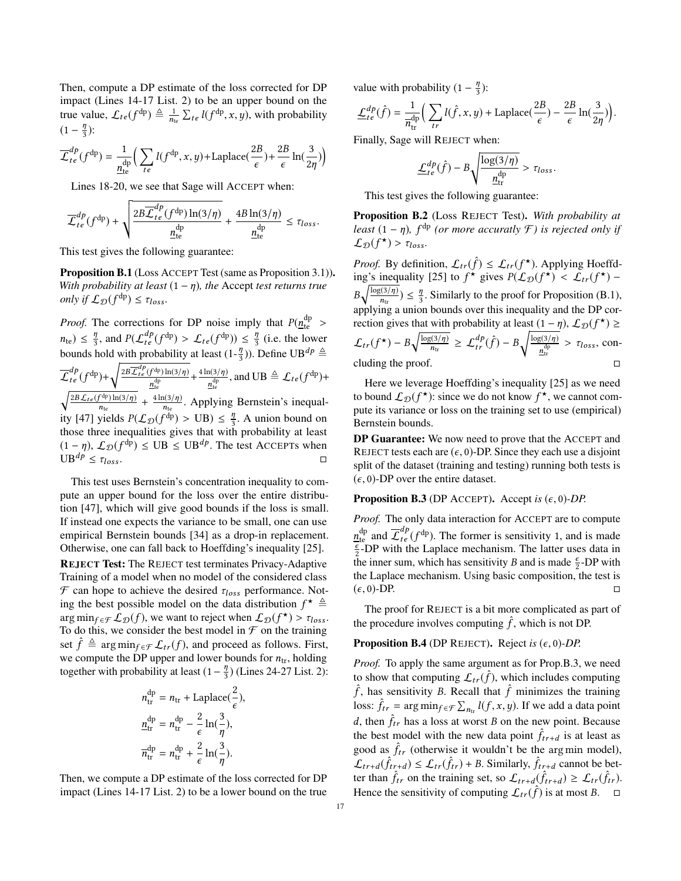Then, compute a DP estimate of the loss corrected for DP impact (Lines 14-17 List. [2\)](#page-5-1) to be an upper bound on the true value,  $\mathcal{L}_{te}(f^{dp}) \triangleq \frac{1}{n_{te}} \sum_{te} l(f^{dp}, x, y)$ , with probability  $(1 - \frac{\eta}{3})$  $\frac{\eta}{3}$ ):

$$
\overline{\mathcal{L}}_{te}^{dp}(f^{dp}) = \frac{1}{n_{te}^{dp}} \Big( \sum_{te} l(f^{dp}, x, y) + \text{Laplace}(\frac{2B}{\epsilon}) + \frac{2B}{\epsilon} \ln(\frac{3}{2\eta}) \Big)
$$

Lines 18-20, we see that Sage will ACCEPT when:

$$
\overline{\mathcal{L}}_{te}^{dp}(f^{dp}) + \sqrt{\frac{2B\overline{\mathcal{L}}_{te}^{dp}(f^{dp})\ln(3/\eta)}{\underline{n}_{te}^{dp}}} + \frac{4B\ln(3/\eta)}{\underline{n}_{te}^{dp}} \leq \tau_{loss}.
$$

This test gives the following guarantee:

<span id="page-16-0"></span>Proposition B.1 (Loss ACCEPT Test (same as Proposition [3.1\)](#page-6-1)). *With probability at least*  $(1 - \eta)$ *, the Accept test returns true only if*  $\mathcal{L}_{\mathcal{D}}(f^{\text{dp}}) \leq \tau_{loss}$ *.* 

*Proof.* The corrections for DP noise imply that  $P(n_{\text{te}}^{\text{dp}})$ *the*)  $\leq \frac{\eta}{3}$ , and  $P(\mathcal{L}_t^{dp}(f^{dp}) > \mathcal{L}_{te}(f^{dp})) \leq \frac{\eta}{3}$  (i.e. the lower<br>heurals hald with probability at least  $(1, \eta)$ ). Define  $\Pi^{p}$ bounds hold with probability at least  $(1-\frac{\eta}{3})$ ). Define UB<sup>dp</sup>  $\triangleq$ 3  $\overline{\mathcal{L}}_{te}^{dp}(f^{dp})+\sqrt{\frac{2B\overline{\mathcal{L}}_{te}^{dp}(f^{dp})\ln(3/\eta)}{n^{dp}}}$  $\frac{f^{dp}}{n_{\text{te}}^{\text{dp}}} + \frac{4 \ln(3/\eta)}{n_{\text{te}}^{\text{dp}}}$  $\frac{n(3/\eta)}{n_{\text{te}}^{\text{dp}}},$  and UB  $\triangleq \mathcal{L}_{te}(f^{\text{dp}})+$  $\sqrt{\frac{2B\mathcal{L}_{te}(f^{dp})\ln(3/\eta)}{n}}$  $\frac{f^{dp})\ln(3/\eta)}{n_{te}} + \frac{4\ln(3/\eta)}{n_{te}}$  $\frac{n(3/\eta)}{n_{te}}$ . Applying Bernstein's inequal-ity [\[47\]](#page-13-27) yields  $P(\mathcal{L}_D(f^{\text{dp}})) > \text{UB}) \leq \frac{\eta}{3}$ . A union bound on those three inequalities gives that with probability at least those three inequalities gives that with probability at least  $(1 - \eta)$ ,  $\mathcal{L}_{\mathcal{D}}(f^{\text{dp}}) \leq \text{UB} \leq \text{UB}^{dp}$ . The test ACCEPTs when  $UB^{dp} \leq \tau_{loss}$ .

This test uses Bernstein's concentration inequality to compute an upper bound for the loss over the entire distribution [\[47\]](#page-13-27), which will give good bounds if the loss is small. If instead one expects the variance to be small, one can use empirical Bernstein bounds [\[34\]](#page-13-40) as a drop-in replacement. Otherwise, one can fall back to Hoeffding's inequality [\[25\]](#page-13-41). REJECT Test: The REJECT test terminates Privacy-Adaptive Training of a model when no model of the considered class  $\mathcal F$  can hope to achieve the desired  $\tau_{loss}$  performance. Noting the best possible model on the data distribution  $f^* \triangleq$  $\arg \min_{f \in \mathcal{F}} \mathcal{L}_{\mathcal{D}}(f)$ , we want to reject when  $\mathcal{L}_{\mathcal{D}}(f^{\star}) > \tau_{loss}$ .<br>To do this, we consider the best model in  $\mathcal{F}$  on the training To do this, we consider the best model in  $\mathcal F$  on the training set  $\hat{f} \triangleq \arg \min_{f \in \mathcal{F}} \mathcal{L}_{tr}(f)$ , and proceed as follows. First, we compute the DP upper and lower bounds for  $n_{tr}$ , holding together with probability at least  $(1-\frac{\eta}{3})$  $\frac{\eta}{3}$ ) (Lines 24-27 List. [2\)](#page-5-1):

$$
n_{\text{tr}}^{\text{dp}} = n_{\text{tr}} + \text{Laplace}(\frac{2}{\epsilon}),
$$
  
\n
$$
\frac{n_{\text{tr}}^{\text{dp}}}{n_{\text{tr}}^{\text{dp}}} = n_{\text{tr}}^{\text{dp}} - \frac{2}{\epsilon} \ln(\frac{3}{\eta}),
$$
  
\n
$$
\overline{n}_{\text{tr}}^{\text{dp}} = n_{\text{tr}}^{\text{dp}} + \frac{2}{\epsilon} \ln(\frac{3}{\eta}).
$$

Then, we compute a DP estimate of the loss corrected for DP impact (Lines 14-17 List. [2\)](#page-5-1) to be a lower bound on the true value with probability  $(1 - \frac{\eta}{3})$  $\frac{\eta}{3}$ ):

$$
\underline{\mathcal{L}}_{te}^{dp}(\hat{f}) = \frac{1}{\overline{n}_{tr}^{dp}} \Big( \sum_{tr} l(\hat{f}, x, y) + \text{Laplace}(\frac{2B}{\epsilon}) - \frac{2B}{\epsilon} \ln(\frac{3}{2\eta}) \Big).
$$

Finally, Sage will REJECT when:

$$
\underline{\mathcal{L}}_{te}^{dp}(\hat{f}) - B \sqrt{\frac{\log(3/\eta)}{\frac{\mathrm{d}p}{\mathrm{d}t}} } > \tau_{loss}.
$$

This test gives the following guarantee:

<span id="page-16-2"></span>Proposition B.2 (Loss REJECT Test). *With probability at least*  $(1 - \eta)$ ,  $f^{\text{dp}}$  (or more accuratly  $\mathcal{F}$ ) is rejected only if  $\mathcal{L}_{\mathcal{D}}(f^{\star}) > \tau_{loss}.$ 

*Proof.* By definition,  $\mathcal{L}_{tr}(\hat{f}) \leq \mathcal{L}_{tr}(f^{\star})$ . Applying Hoeffd-ing's inequality [\[25\]](#page-13-41) to  $f^*$  gives  $P(\mathcal{L}_\mathcal{D}(f^*) < \mathcal{L}_{tr}(f^*) B\sqrt{\frac{\log(3/\eta)}{n}}$  $\frac{n(n+1)}{n(n+1)} \leq \frac{n}{3}$ . Similarly to the proof for Proposition [\(B.1\)](#page-16-0), applying a union bounds over this inequality and the DP correction gives that with probability at least  $(1 - \eta)$ ,  $\mathcal{L}_{\mathcal{D}}(f^{\star}) \ge$  $\mathcal{L}_{tr}(f^{\star}) - B \sqrt{\frac{\log(3/\eta)}{n_{tr}}}$  $\frac{\overline{\mathfrak{g}(3/\eta)}}{n_{tr}} \geq \mathcal{L}_{tr}^{dp}(\hat{f}) - B \sqrt{\frac{\log(3/\eta)}{n_{tr}^{\frac{dp}{n}}}}$  $rac{g(3/\eta)}{n_{\text{tr}}^{\text{dp}}} > \tau_{loss}$ , concluding the proof.  $\Box$ 

Here we leverage Hoeffding's inequality [\[25\]](#page-13-41) as we need to bound  $\mathcal{L}_{\mathcal{D}}(f^{\star})$ : since we do not know  $f^{\star}$ , we cannot compute its variance or loss on the training set to use (empirical) Bernstein bounds.

DP Guarantee: We now need to prove that the ACCEPT and REJECT tests each are  $(\epsilon, 0)$ -DP. Since they each use a disjoint split of the dataset (training and testing) running both tests is  $(\epsilon, 0)$ -DP over the entire dataset.

#### <span id="page-16-1"></span>**Proposition B.3** (DP ACCEPT). Accept is  $(\epsilon, 0)$ -DP.

*Proof.* The only data interaction for ACCEPT are to compute  $\underline{n}_{\text{te}}^{\text{dp}}$  and  $\overline{\mathcal{L}}_{te}^{dp}(f^{\text{dp}})$ . The former is sensitivity 1, and is made  $\frac{\epsilon}{2}$ -DP with the Laplace mechanism. The latter uses data in the inner sum, which has sensitivity B and is made  $\frac{\epsilon}{2}$ -DP with the Laplace mechanism. Using basic composition, the test is  $(\epsilon, 0)$ -DP. □

The proof for REJECT is a bit more complicated as part of the procedure involves computing  $\hat{f}$ , which is not DP.

#### <span id="page-16-3"></span>**Proposition B.4** (DP REJECT). Reject is  $(\epsilon, 0)$ -DP.

*Proof.* To apply the same argument as for Prop[.B.3,](#page-16-1) we need to show that computing  $\mathcal{L}_{tr}(\hat{f})$ , which includes computing  $\hat{f}$ , has sensitivity B. Recall that  $\hat{f}$  minimizes the training loss:  $\hat{f}_{tr} = \arg \min_{f \in \mathcal{F}} \sum_{n_{\text{tr}}} l(f, x, y)$ . If we add a data point d, then  $\hat{f}_{tr}$  has a loss at worst B on the new point. Because the best model with the new data point  $\hat{f}_{tr+d}$  is at least as good as  $\hat{f}_{tr}$  (otherwise it wouldn't be the arg min model),  $\mathcal{L}_{tr+d}(\hat{f}_{tr+d}) \leq \mathcal{L}_{tr}(\hat{f}_{tr}) + B$ . Similarly,  $\hat{f}_{tr+d}$  cannot be better than  $\hat{f}_{tr}$  on the training set, so  $\mathcal{L}_{tr+d}(\hat{f}_{tr+d}) \geq \mathcal{L}_{tr}(\hat{f}_{tr})$ . Hence the sensitivity of computing  $\mathcal{L}_{tr}(\hat{f})$  is at most B.  $\Box$